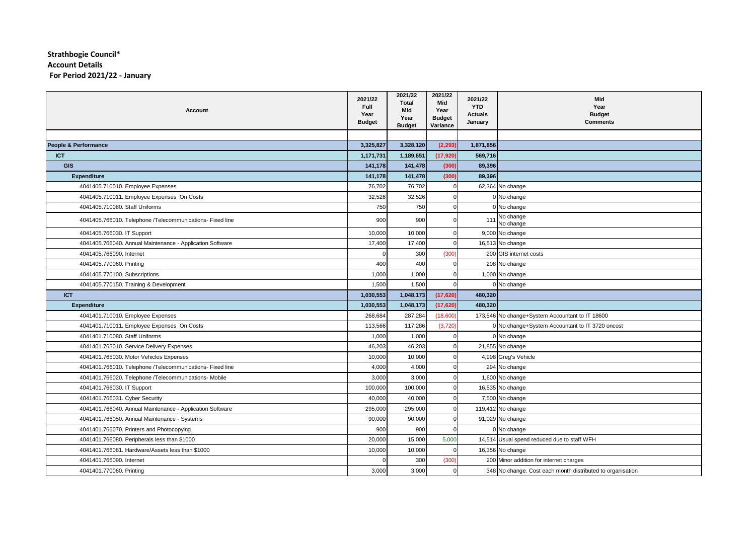## **Strathbogie Council\* Account Details For Period 2021/22 - January**

| Account                                                   | 2021/22<br><b>Full</b><br>Year<br><b>Budget</b> | 2021/22<br><b>Total</b><br>Mid<br>Year<br><b>Budget</b> | 2021/22<br>Mid<br>Year<br><b>Budget</b><br>Variance | 2021/22<br><b>YTD</b><br><b>Actuals</b><br>January | Mid<br>Year<br><b>Budget</b><br><b>Comments</b>            |
|-----------------------------------------------------------|-------------------------------------------------|---------------------------------------------------------|-----------------------------------------------------|----------------------------------------------------|------------------------------------------------------------|
|                                                           |                                                 |                                                         |                                                     |                                                    |                                                            |
| People & Performance                                      | 3,325,827                                       | 3.328.120                                               | (2, 293)                                            | 1,871,856                                          |                                                            |
| <b>ICT</b>                                                | 1,171,731                                       | 1,189,651                                               | (17,920)                                            | 569,716                                            |                                                            |
| <b>GIS</b>                                                | 141,178                                         | 141,478                                                 | (300)                                               | 89,396                                             |                                                            |
| <b>Expenditure</b>                                        | 141,178                                         | 141,478                                                 | (300)                                               | 89,396                                             |                                                            |
| 4041405.710010. Employee Expenses                         | 76,702                                          | 76,702                                                  | $\mathbf 0$                                         |                                                    | 62,364 No change                                           |
| 4041405.710011. Employee Expenses On Costs                | 32,526                                          | 32,526                                                  | $\mathbf 0$                                         |                                                    | 0 No change                                                |
| 4041405.710080. Staff Uniforms                            | 750                                             | 750                                                     | $\mathbf 0$                                         |                                                    | 0 No change                                                |
| 4041405.766010. Telephone /Telecommunications- Fixed line | 900                                             | 900                                                     | $\mathbf 0$                                         | 111                                                | No change<br>No change                                     |
| 4041405.766030. IT Support                                | 10,000                                          | 10,000                                                  | $\mathbf 0$                                         |                                                    | 9,000 No change                                            |
| 4041405.766040. Annual Maintenance - Application Software | 17,400                                          | 17,400                                                  | $\mathbf 0$                                         |                                                    | 16,513 No change                                           |
| 4041405.766090. Internet                                  | $\Omega$                                        | 300                                                     | (300)                                               |                                                    | 200 GIS internet costs                                     |
| 4041405.770060. Printing                                  | 400                                             | 400                                                     | $\mathbf 0$                                         |                                                    | 208 No change                                              |
| 4041405.770100. Subscriptions                             | 1,000                                           | 1,000                                                   | $\mathbf 0$                                         |                                                    | 1,000 No change                                            |
| 4041405.770150. Training & Development                    | 1,500                                           | 1,500                                                   | $\Omega$                                            |                                                    | 0 No change                                                |
| <b>ICT</b>                                                | 1,030,553                                       | 1,048,173                                               | (17, 620)                                           | 480,320                                            |                                                            |
| Expenditure                                               | 1,030,553                                       | 1,048,173                                               | (17, 620)                                           | 480,320                                            |                                                            |
| 4041401.710010. Employee Expenses                         | 268,684                                         | 287,284                                                 | (18,600)                                            |                                                    | 173,546 No change+System Accountant to IT 18600            |
| 4041401.710011. Employee Expenses On Costs                | 113,566                                         | 117,286                                                 | (3,720)                                             |                                                    | 0 No change+System Accountant to IT 3720 oncost            |
| 4041401.710080. Staff Uniforms                            | 1.000                                           | 1,000                                                   | $\mathbf 0$                                         |                                                    | 0 No change                                                |
| 4041401.765010. Service Delivery Expenses                 | 46,203                                          | 46,203                                                  | $\mathbf 0$                                         |                                                    | 21,855 No change                                           |
| 4041401.765030. Motor Vehicles Expenses                   | 10,000                                          | 10,000                                                  | $\mathbf 0$                                         |                                                    | 4,998 Greg's Vehicle                                       |
| 4041401.766010. Telephone /Telecommunications- Fixed line | 4,000                                           | 4,000                                                   | $\mathbf 0$                                         |                                                    | 294 No change                                              |
| 4041401.766020. Telephone /Telecommunications- Mobile     | 3,000                                           | 3,000                                                   | $\Omega$                                            |                                                    | 1,600 No change                                            |
| 4041401.766030. IT Support                                | 100,000                                         | 100,000                                                 | $\mathbf 0$                                         |                                                    | 16,535 No change                                           |
| 4041401.766031. Cyber Security                            | 40,000                                          | 40,000                                                  | $\mathbf 0$                                         |                                                    | 7,500 No change                                            |
| 4041401.766040. Annual Maintenance - Application Software | 295,000                                         | 295,000                                                 | $\mathbf 0$                                         |                                                    | 119,412 No change                                          |
| 4041401.766050. Annual Maintenance - Systems              | 90,000                                          | 90,000                                                  | $\mathbf 0$                                         |                                                    | 91,029 No change                                           |
| 4041401.766070. Printers and Photocopying                 | 900                                             | 900                                                     | $\mathbf 0$                                         |                                                    | 0 No change                                                |
| 4041401.766080. Peripherals less than \$1000              | 20,000                                          | 15,000                                                  | 5,000                                               |                                                    | 14,514 Usual spend reduced due to staff WFH                |
| 4041401.766081. Hardware/Assets less than \$1000          | 10,000                                          | 10,000                                                  | $\mathbf 0$                                         |                                                    | 16,356 No change                                           |
| 4041401.766090. Internet                                  | $\Omega$                                        | 300                                                     | (300)                                               |                                                    | 200 Minor addition for internet charges                    |
| 4041401.770060. Printing                                  | 3,000                                           | 3,000                                                   | $\Omega$                                            |                                                    | 348 No change. Cost each month distributed to organisation |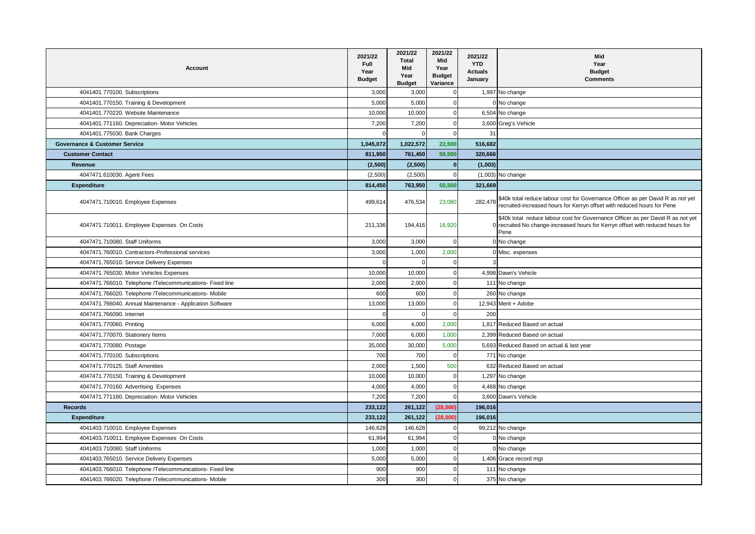| <b>Account</b>                                            | 2021/22<br><b>Full</b><br>Year<br><b>Budget</b> | 2021/22<br><b>Total</b><br>Mid<br>Year<br><b>Budget</b> | 2021/22<br>Mid<br>Year<br><b>Budget</b><br>Variance | 2021/22<br><b>YTD</b><br><b>Actuals</b><br>January | Mid<br>Year<br><b>Budget</b><br><b>Comments</b>                                                                                                                           |
|-----------------------------------------------------------|-------------------------------------------------|---------------------------------------------------------|-----------------------------------------------------|----------------------------------------------------|---------------------------------------------------------------------------------------------------------------------------------------------------------------------------|
| 4041401.770100. Subscriptions                             | 3,000                                           | 3,000                                                   | $\Omega$                                            |                                                    | 1,997 No change                                                                                                                                                           |
| 4041401.770150. Training & Development                    | 5,000                                           | 5,000                                                   | $\mathbf 0$                                         |                                                    | 0 No change                                                                                                                                                               |
| 4041401.770220. Website Maintenance                       | 10,000                                          | 10,000                                                  | $\mathbf 0$                                         |                                                    | 6,504 No change                                                                                                                                                           |
| 4041401.771160. Depreciation- Motor Vehicles              | 7,200                                           | 7,200                                                   | $\mathbf 0$                                         |                                                    | 3,600 Greg's Vehicle                                                                                                                                                      |
| 4041401.775030. Bank Charges                              |                                                 |                                                         | $\Omega$                                            | 31                                                 |                                                                                                                                                                           |
| <b>Governance &amp; Customer Service</b>                  | 1,045,072                                       | 1,022,572                                               | 22,500                                              | 516,682                                            |                                                                                                                                                                           |
| <b>Customer Contact</b>                                   | 811,950                                         | 761,450                                                 | 50,500                                              | 320,666                                            |                                                                                                                                                                           |
| Revenue                                                   | (2,500)                                         | (2,500)                                                 | $\mathbf{0}$                                        | (1,003)                                            |                                                                                                                                                                           |
| 4047471.610030. Agent Fees                                | (2,500)                                         | (2,500)                                                 | $\Omega$                                            |                                                    | (1,003) No change                                                                                                                                                         |
| <b>Expenditure</b>                                        | 814,450                                         | 763,950                                                 | 50,500                                              | 321,669                                            |                                                                                                                                                                           |
| 4047471.710010. Employee Expenses                         | 499,614                                         | 476,534                                                 | 23,080                                              |                                                    | 282,478 \$40k total reduce labour cost for Governance Officer as per David R as not yet<br>recruited-increased hours for Kerryn offset with reduced hours for Pene        |
| 4047471.710011. Employee Expenses On Costs                | 211,336                                         | 194,416                                                 | 16,920                                              |                                                    | \$40k total reduce labour cost for Governance Officer as per David R as not yet<br>0 recruited No change-increased hours for Kerryn offset with reduced hours for<br>Pene |
| 4047471.710080. Staff Uniforms                            | 3,000                                           | 3,000                                                   | $\Omega$                                            |                                                    | 0 No change                                                                                                                                                               |
| 4047471.760010. Contractors-Professional services         | 3,000                                           | 1,000                                                   | 2,000                                               |                                                    | 0 Misc. expenses                                                                                                                                                          |
| 4047471.765010. Service Delivery Expenses                 |                                                 |                                                         | $\Omega$                                            |                                                    |                                                                                                                                                                           |
| 4047471.765030. Motor Vehicles Expenses                   | 10,000                                          | 10,000                                                  | $\Omega$                                            |                                                    | 4,998 Dawn's Vehicle                                                                                                                                                      |
| 4047471.766010. Telephone /Telecommunications- Fixed line | 2.000                                           | 2,000                                                   | $\Omega$                                            |                                                    | 111 No change                                                                                                                                                             |
| 4047471.766020. Telephone /Telecommunications- Mobile     | 600                                             | 600                                                     | $\mathbf 0$                                         |                                                    | 260 No change                                                                                                                                                             |
| 4047471.766040. Annual Maintenance - Application Software | 13,000                                          | 13,000                                                  | $\Omega$                                            |                                                    | 12,943 Merit + Adobe                                                                                                                                                      |
| 4047471.766090. Internet                                  | $\Omega$                                        | $\Omega$                                                | $\Omega$                                            | 200                                                |                                                                                                                                                                           |
| 4047471.770060. Printing                                  | 6,000                                           | 4,000                                                   | 2,000                                               |                                                    | 1,817 Reduced Based on actual                                                                                                                                             |
| 4047471.770070. Stationery Items                          | 7.000                                           | 6.000                                                   | 1,000                                               |                                                    | 2.399 Reduced Based on actual                                                                                                                                             |
| 4047471.770080. Postage                                   | 35,000                                          | 30,000                                                  | 5,000                                               |                                                    | 5,693 Reduced Based on actual & last year                                                                                                                                 |
| 4047471.770100. Subscriptions                             | 700                                             | 700                                                     | $\Omega$                                            |                                                    | 771 No change                                                                                                                                                             |
| 4047471.770125. Staff Amenities                           | 2,000                                           | 1,500                                                   | 500                                                 |                                                    | 632 Reduced Based on actual                                                                                                                                               |
| 4047471.770150. Training & Development                    | 10,000                                          | 10,000                                                  | $\mathbf 0$                                         |                                                    | 1,297 No change                                                                                                                                                           |
| 4047471.770160. Advertising Expenses                      | 4,000                                           | 4,000                                                   | $\mathsf 0$                                         |                                                    | 4,468 No change                                                                                                                                                           |
| 4047471.771160. Depreciation- Motor Vehicles              | 7,200                                           | 7,200                                                   | $\Omega$                                            |                                                    | 3,600 Dawn's Vehicle                                                                                                                                                      |
| <b>Records</b>                                            | 233,122                                         | 261,122                                                 | (28,000)                                            | 196,016                                            |                                                                                                                                                                           |
| <b>Expenditure</b>                                        | 233,122                                         | 261,122                                                 | (28,000)                                            | 196,016                                            |                                                                                                                                                                           |
| 4041403.710010. Employee Expenses                         | 146,628                                         | 146,628                                                 | $\Omega$                                            |                                                    | 99,212 No change                                                                                                                                                          |
| 4041403.710011. Employee Expenses On Costs                | 61,994                                          | 61,994                                                  | $\Omega$                                            |                                                    | 0 No change                                                                                                                                                               |
| 4041403.710080. Staff Uniforms                            | 1,000                                           | 1,000                                                   | $\Omega$                                            |                                                    | 0 No change                                                                                                                                                               |
| 4041403.765010. Service Delivery Expenses                 | 5,000                                           | 5,000                                                   | $\mathbf 0$                                         |                                                    | 1,406 Grace record mgt                                                                                                                                                    |
| 4041403.766010. Telephone /Telecommunications- Fixed line | 900                                             | 900                                                     | $\mathbf 0$                                         |                                                    | 111 No change                                                                                                                                                             |
| 4041403.766020. Telephone /Telecommunications- Mobile     | 300                                             | 300                                                     | $\mathbf 0$                                         |                                                    | 375 No change                                                                                                                                                             |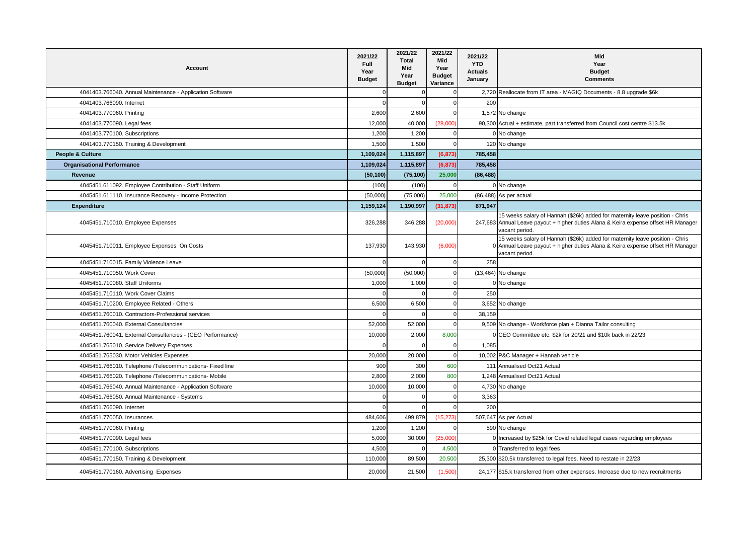| <b>Account</b>                                             | 2021/22<br><b>Full</b><br>Year<br><b>Budget</b> | 2021/22<br><b>Total</b><br>Mid<br>Year<br><b>Budget</b> | 2021/22<br>Mid<br>Year<br><b>Budget</b><br>Variance | 2021/22<br><b>YTD</b><br><b>Actuals</b><br>January | Mid<br>Year<br><b>Budget</b><br><b>Comments</b>                                                                                                                                       |
|------------------------------------------------------------|-------------------------------------------------|---------------------------------------------------------|-----------------------------------------------------|----------------------------------------------------|---------------------------------------------------------------------------------------------------------------------------------------------------------------------------------------|
| 4041403.766040. Annual Maintenance - Application Software  | $\Omega$                                        |                                                         | $\mathbf 0$                                         |                                                    | 2,720 Reallocate from IT area - MAGIQ Documents - 8.8 upgrade \$6k                                                                                                                    |
| 4041403.766090. Internet                                   | $\Omega$                                        | $\Omega$                                                | $\mathbf 0$                                         | 200                                                |                                                                                                                                                                                       |
| 4041403.770060. Printing                                   | 2,600                                           | 2,600                                                   | $\mathbf 0$                                         |                                                    | 1,572 No change                                                                                                                                                                       |
| 4041403.770090. Legal fees                                 | 12,000                                          | 40,000                                                  | (28,000)                                            |                                                    | 90,300 Actual + estimate, part transferred from Council cost centre \$13.5k                                                                                                           |
| 4041403.770100. Subscriptions                              | 1.200                                           | 1,200                                                   | $\mathbf 0$                                         |                                                    | 0 No change                                                                                                                                                                           |
| 4041403.770150. Training & Development                     | 1,500                                           | 1,500                                                   | $\mathbf 0$                                         |                                                    | 120 No change                                                                                                                                                                         |
| People & Culture                                           | 1,109,024                                       | 1,115,897                                               | (6, 873)                                            | 785,458                                            |                                                                                                                                                                                       |
| <b>Organisational Performance</b>                          | 1,109,024                                       | 1,115,897                                               | (6, 873)                                            | 785,458                                            |                                                                                                                                                                                       |
| Revenue                                                    | (50, 100)                                       | (75, 100)                                               | 25,000                                              | (86, 488)                                          |                                                                                                                                                                                       |
| 4045451.611092. Employee Contribution - Staff Uniform      | (100)                                           | (100)                                                   | $\Omega$                                            |                                                    | 0 No change                                                                                                                                                                           |
| 4045451.611110. Insurance Recovery - Income Protection     | (50,000)                                        | (75,000)                                                | 25,000                                              |                                                    | (86,488) As per actual                                                                                                                                                                |
| <b>Expenditure</b>                                         | 1,159,124                                       | 1,190,997                                               | (31, 873)                                           | 871.947                                            |                                                                                                                                                                                       |
| 4045451.710010. Employee Expenses                          | 326,288                                         | 346,288                                                 | (20,000)                                            |                                                    | 15 weeks salary of Hannah (\$26k) added for maternity leave position - Chris<br>247,683 Annual Leave payout + higher duties Alana & Keira expense offset HR Manager<br>vacant period. |
| 4045451.710011. Employee Expenses On Costs                 | 137,930                                         | 143,930                                                 | (6,000)                                             |                                                    | 15 weeks salary of Hannah (\$26k) added for maternity leave position - Chris<br>0 Annual Leave payout + higher duties Alana & Keira expense offset HR Manager<br>vacant period.       |
| 4045451.710015. Family Violence Leave                      | $\Omega$                                        | $\Omega$                                                | $\mathbf 0$                                         | 258                                                |                                                                                                                                                                                       |
| 4045451.710050. Work Cover                                 | (50,000)                                        | (50,000)                                                | $\mathbf 0$                                         |                                                    | (13,464) No change                                                                                                                                                                    |
| 4045451.710080. Staff Uniforms                             | 1,000                                           | 1,000                                                   | $\mathbf 0$                                         |                                                    | 0 No change                                                                                                                                                                           |
| 4045451.710110. Work Cover Claims                          | $\Omega$                                        | $\Omega$                                                | $\mathbf 0$                                         | 250                                                |                                                                                                                                                                                       |
| 4045451.710200. Employee Related - Others                  | 6,500                                           | 6,500                                                   | $\mathbf 0$                                         |                                                    | 3,652 No change                                                                                                                                                                       |
| 4045451.760010. Contractors-Professional services          | $\Omega$                                        | $\Omega$                                                | $\mathbf 0$                                         | 38,159                                             |                                                                                                                                                                                       |
| 4045451.760040. External Consultancies                     | 52,000                                          | 52,000                                                  | $\Omega$                                            |                                                    | 9,509 No change - Workforce plan + Dianna Tailor consulting                                                                                                                           |
| 4045451.760041. External Consultancies - (CEO Performance) | 10,000                                          | 2,000                                                   | 8,000                                               |                                                    | 0 CEO Committee etc. \$2k for 20/21 and \$10k back in 22/23                                                                                                                           |
| 4045451.765010. Service Delivery Expenses                  | $\Omega$                                        | $\Omega$                                                | $\mathbf 0$                                         | 1,085                                              |                                                                                                                                                                                       |
| 4045451.765030. Motor Vehicles Expenses                    | 20,000                                          | 20,000                                                  | $\mathbf 0$                                         |                                                    | 10,002 P&C Manager + Hannah vehicle                                                                                                                                                   |
| 4045451.766010. Telephone /Telecommunications- Fixed line  | 900                                             | 300                                                     | 600                                                 |                                                    | 111 Annualised Oct21 Actual                                                                                                                                                           |
| 4045451.766020. Telephone /Telecommunications- Mobile      | 2,800                                           | 2,000                                                   | 800                                                 |                                                    | 1,248 Annualised Oct21 Actual                                                                                                                                                         |
| 4045451.766040. Annual Maintenance - Application Software  | 10,000                                          | 10,000                                                  | $\mathbf 0$                                         |                                                    | 4,730 No change                                                                                                                                                                       |
| 4045451.766050. Annual Maintenance - Systems               | $\Omega$                                        |                                                         | $\Omega$                                            | 3,363                                              |                                                                                                                                                                                       |
| 4045451.766090. Internet                                   | $\Omega$                                        | $\Omega$                                                | $\mathbf 0$                                         | 200                                                |                                                                                                                                                                                       |
| 4045451.770050. Insurances                                 | 484,606                                         | 499,879                                                 | (15, 273)                                           |                                                    | 507,647 As per Actual                                                                                                                                                                 |
| 4045451.770060. Printing                                   | 1,200                                           | 1,200                                                   | $\mathbf 0$                                         |                                                    | 590 No change                                                                                                                                                                         |
| 4045451.770090. Legal fees                                 | 5,000                                           | 30,000                                                  | (25,000)                                            |                                                    | 0 Increased by \$25k for Covid related legal cases regarding employees                                                                                                                |
| 4045451.770100. Subscriptions                              | 4,500                                           | $\Omega$                                                | 4,500                                               |                                                    | 0 Transferred to legal fees                                                                                                                                                           |
| 4045451.770150. Training & Development                     | 110,000                                         | 89.500                                                  | 20,500                                              |                                                    | 25,300 \$20.5k transferred to legal fees. Need to restate in 22/23                                                                                                                    |
| 4045451.770160. Advertising Expenses                       | 20,000                                          | 21,500                                                  | (1,500)                                             |                                                    | 24,177 \$15.k transferred from other expenses. Increase due to new recruitments                                                                                                       |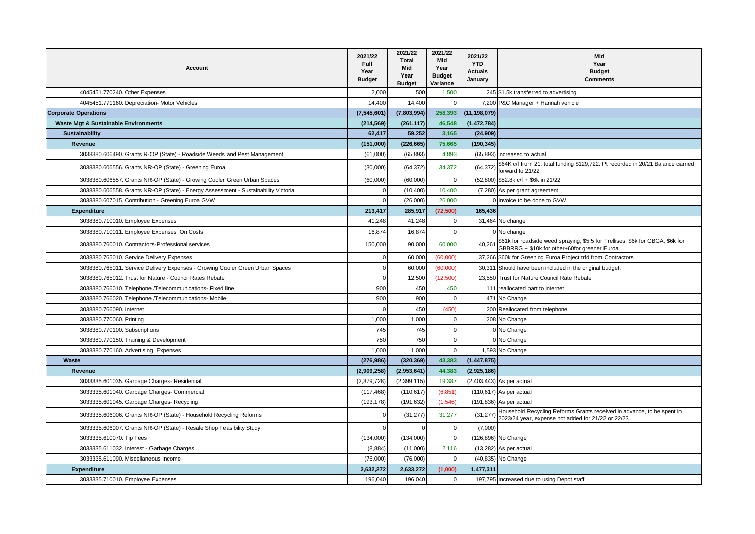| <b>Account</b>                                                                     | 2021/22<br><b>Full</b><br>Year<br><b>Budget</b> | 2021/22<br><b>Total</b><br>Mid<br>Year<br><b>Budget</b> | 2021/22<br>Mid<br>Year<br><b>Budget</b><br>Variance | 2021/22<br><b>YTD</b><br><b>Actuals</b><br>January | Mid<br>Year<br><b>Budget</b><br><b>Comments</b>                                                                                |
|------------------------------------------------------------------------------------|-------------------------------------------------|---------------------------------------------------------|-----------------------------------------------------|----------------------------------------------------|--------------------------------------------------------------------------------------------------------------------------------|
| 4045451.770240. Other Expenses                                                     | 2,000                                           | 500                                                     | 1,500                                               |                                                    | 245 \$1.5k transferred to advertising                                                                                          |
| 4045451.771160. Depreciation- Motor Vehicles                                       | 14,400                                          | 14,400                                                  | $\Omega$                                            | 7,200                                              | P&C Manager + Hannah vehicle                                                                                                   |
| <b>Corporate Operations</b>                                                        | (7, 545, 601)                                   | (7,803,994)                                             | 258,393                                             | (11, 198, 079)                                     |                                                                                                                                |
| <b>Waste Mgt &amp; Sustainable Environments</b>                                    | (214, 569)                                      | (261, 117)                                              | 46,548                                              | (1,472,784)                                        |                                                                                                                                |
| Sustainability                                                                     | 62,417                                          | 59,252                                                  | 3,165                                               | (24, 909)                                          |                                                                                                                                |
| Revenue                                                                            | (151,000)                                       | (226, 665)                                              | 75,665                                              | (190, 345)                                         |                                                                                                                                |
| 3038380.606490. Grants R-OP (State) - Roadside Weeds and Pest Management           | (61,000)                                        | (65, 893)                                               | 4,893                                               | (65, 893)                                          | increased to actual                                                                                                            |
| 3038380.606556. Grants NR-OP (State) - Greening Euroa                              | (30,000)                                        | (64, 372)                                               | 34,372                                              | (64, 372)                                          | \$64K c/f from 21, total funding \$129,722. Pt recorded in 20/21 Balance carried<br>forward to 21/22                           |
| 3038380.606557. Grants NR-OP (State) - Growing Cooler Green Urban Spaces           | (60,000)                                        | (60,000)                                                | $\Omega$                                            |                                                    | (52,800) \$52.8k c/f + \$6k in 21/22                                                                                           |
| 3038380.606558. Grants NR-OP (State) - Energy Assessment - Sustainability Victoria | $\Omega$                                        | (10, 400)                                               | 10,400                                              |                                                    | (7,280) As per grant agreement                                                                                                 |
| 3038380.607015. Contribution - Greening Euroa GVW                                  | $\Omega$                                        | (26,000)                                                | 26,000                                              |                                                    | Invoice to be done to GVW                                                                                                      |
| <b>Expenditure</b>                                                                 | 213,417                                         | 285,917                                                 | (72, 500)                                           | 165,436                                            |                                                                                                                                |
| 3038380.710010. Employee Expenses                                                  | 41,248                                          | 41,248                                                  | $\epsilon$                                          |                                                    | 31,464 No change                                                                                                               |
| 3038380.710011. Employee Expenses On Costs                                         | 16,874                                          | 16,874                                                  | $\Omega$                                            |                                                    | No change                                                                                                                      |
| 3038380.760010. Contractors-Professional services                                  | 150,000                                         | 90,000                                                  | 60,000                                              | 40,261                                             | \$61k for roadside weed spraying, \$5.5 for Trellises, \$6k for GBGA, \$6k for<br>GBBRRG + \$10k for other+60for greener Euroa |
| 3038380.765010. Service Delivery Expenses                                          | $\Omega$                                        | 60,000                                                  | (60,000)                                            |                                                    | 37,266 \$60k for Greening Euroa Project trfd from Contractors                                                                  |
| 3038380.765011. Service Delivery Expenses - Growing Cooler Green Urban Spaces      | $\Omega$                                        | 60,000                                                  | (60,000)                                            | 30,311                                             | Should have been included in the original budget.                                                                              |
| 3038380.765012. Trust for Nature - Council Rates Rebate                            | $\Omega$                                        | 12,500                                                  | (12,500)                                            | 23,550                                             | Trust for Nature Council Rate Rebate                                                                                           |
| 3038380.766010. Telephone /Telecommunications- Fixed line                          | 900                                             | 450                                                     | 450                                                 | 111                                                | reallocated part to internet                                                                                                   |
| 3038380.766020. Telephone /Telecommunications- Mobile                              | 900                                             | 900                                                     | $\Omega$                                            |                                                    | 471 No Change                                                                                                                  |
| 3038380.766090. Internet                                                           |                                                 | 450                                                     | (450)                                               |                                                    | 200 Reallocated from telephone                                                                                                 |
| 3038380.770060. Printing                                                           | 1,000                                           | 1,000                                                   | $\Omega$                                            |                                                    | 208 No Change                                                                                                                  |
| 3038380.770100. Subscriptions                                                      | 745                                             | 745                                                     | ſ                                                   |                                                    | No Change                                                                                                                      |
| 3038380.770150. Training & Development                                             | 750                                             | 750                                                     | $\Omega$                                            |                                                    | No Change                                                                                                                      |
| 3038380.770160. Advertising Expenses                                               | 1.000                                           | 1,000                                                   | $\mathcal{C}$                                       |                                                    | 1,593 No Change                                                                                                                |
| Waste                                                                              | (276, 986)                                      | (320, 369)                                              | 43,383                                              | (1, 447, 875)                                      |                                                                                                                                |
| Revenue                                                                            | (2,909,258)                                     | (2,953,641)                                             | 44,383                                              | (2,925,186)                                        |                                                                                                                                |
| 3033335.601035. Garbage Charges-Residential                                        | (2,379,728)                                     | (2, 399, 115)                                           | 19,387                                              |                                                    | $(2,403,443)$ As per actual                                                                                                    |
| 3033335.601040. Garbage Charges- Commercial                                        | (117, 468)                                      | (110, 617)                                              | (6, 851)                                            |                                                    | $(110, 617)$ As per actual                                                                                                     |
| 3033335.601045. Garbage Charges- Recycling                                         | (193, 178)                                      | (191, 632)                                              | (1, 546)                                            |                                                    | (191,836) As per actual                                                                                                        |
| 3033335.606006. Grants NR-OP (State) - Household Recycling Reforms                 |                                                 | (31, 277)                                               | 31,277                                              | (31, 277)                                          | Household Recycling Reforms Grants received in advance, to be spent in<br>2023/24 year, expense not added for 21/22 or 22/23   |
| 3033335.606007. Grants NR-OP (State) - Resale Shop Feasibility Study               |                                                 |                                                         | $\Omega$                                            | (7,000)                                            |                                                                                                                                |
| 3033335.610070. Tip Fees                                                           | (134,000)                                       | (134,000)                                               |                                                     |                                                    | (126,896) No Change                                                                                                            |
| 3033335.611032. Interest - Garbage Charges                                         | (8,884)                                         | (11,000)                                                | 2,116                                               |                                                    | $(13,282)$ As per actual                                                                                                       |
| 3033335.611090. Miscellaneous Income                                               | (76,000)                                        | (76,000)                                                | $\Omega$                                            |                                                    | (40,835) No Change                                                                                                             |
| <b>Expenditure</b>                                                                 | 2,632,272                                       | 2,633,272                                               | (1,000)                                             | 1,477,311                                          |                                                                                                                                |
| 3033335.710010. Employee Expenses                                                  | 196,040                                         | 196,040                                                 | $\Omega$                                            |                                                    | 197,795 Increased due to using Depot staff                                                                                     |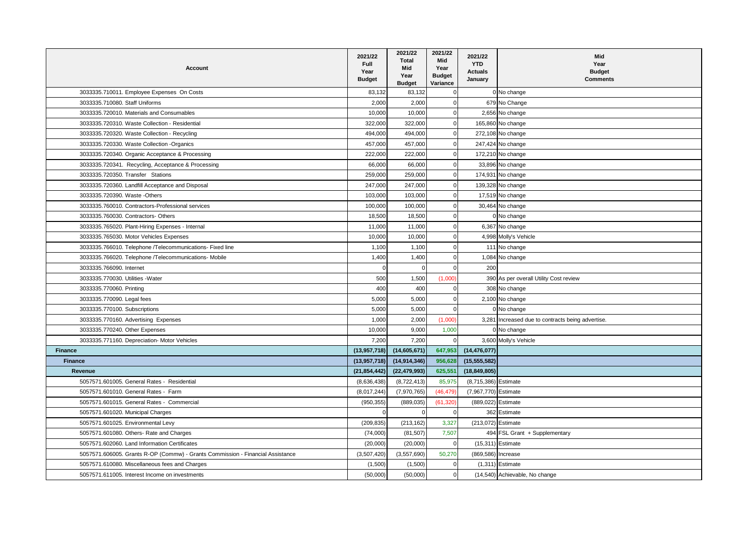| Account                                                                        | 2021/22<br>Full<br>Year<br><b>Budget</b> | 2021/22<br>Total<br>Mid<br>Year<br><b>Budget</b> | 2021/22<br>Mid<br>Year<br><b>Budget</b><br>Variance | 2021/22<br><b>YTD</b><br><b>Actuals</b><br>January | Mid<br>Year<br><b>Budget</b><br><b>Comments</b>   |
|--------------------------------------------------------------------------------|------------------------------------------|--------------------------------------------------|-----------------------------------------------------|----------------------------------------------------|---------------------------------------------------|
| 3033335.710011. Employee Expenses On Costs                                     | 83,132                                   | 83,132                                           |                                                     |                                                    | 0 No change                                       |
| 3033335.710080. Staff Uniforms                                                 | 2,000                                    | 2,000                                            | $\Omega$                                            |                                                    | 679 No Change                                     |
| 3033335.720010. Materials and Consumables                                      | 10,000                                   | 10,000                                           | $\Omega$                                            |                                                    | 2,656 No change                                   |
| 3033335.720310. Waste Collection - Residential                                 | 322,000                                  | 322,000                                          | $\overline{0}$                                      |                                                    | 165,860 No change                                 |
| 3033335.720320. Waste Collection - Recycling                                   | 494,000                                  | 494,000                                          | $\Omega$                                            |                                                    | 272,108 No change                                 |
| 3033335.720330. Waste Collection -Organics                                     | 457,000                                  | 457,000                                          | $\Omega$                                            |                                                    | 247,424 No change                                 |
| 3033335.720340. Organic Acceptance & Processing                                | 222,000                                  | 222,000                                          | $\Omega$                                            |                                                    | 172,210 No change                                 |
| 3033335.720341. Recycling, Acceptance & Processing                             | 66,000                                   | 66,000                                           | $\Omega$                                            |                                                    | 33,896 No change                                  |
| 3033335.720350. Transfer Stations                                              | 259,000                                  | 259,000                                          | $\overline{0}$                                      |                                                    | 174,931 No change                                 |
| 3033335.720360. Landfill Acceptance and Disposal                               | 247,000                                  | 247,000                                          | $\Omega$                                            |                                                    | 139,328 No change                                 |
| 3033335.720390. Waste -Others                                                  | 103,000                                  | 103,000                                          | $\Omega$                                            |                                                    | 17,519 No change                                  |
| 3033335.760010. Contractors-Professional services                              | 100,000                                  | 100,000                                          | $\Omega$                                            |                                                    | 30,464 No change                                  |
| 3033335.760030. Contractors- Others                                            | 18,500                                   | 18,500                                           | $\overline{0}$                                      |                                                    | 0 No change                                       |
| 3033335.765020. Plant-Hiring Expenses - Internal                               | 11,000                                   | 11,000                                           | $\Omega$                                            |                                                    | 6,367 No change                                   |
| 3033335.765030. Motor Vehicles Expenses                                        | 10,000                                   | 10,000                                           | $\Omega$                                            |                                                    | 4,998 Molly's Vehicle                             |
| 3033335.766010. Telephone /Telecommunications- Fixed line                      | 1,100                                    | 1,100                                            | $\Omega$                                            |                                                    | 111 No change                                     |
| 3033335.766020. Telephone /Telecommunications- Mobile                          | 1,400                                    | 1,400                                            | $\Omega$                                            |                                                    | 1,084 No change                                   |
| 3033335.766090. Internet                                                       | $\Omega$                                 | $\Omega$                                         | $\Omega$                                            | 200                                                |                                                   |
| 3033335.770030. Utilities - Water                                              | 500                                      | 1,500                                            | (1,000)                                             |                                                    | 390 As per overall Utility Cost review            |
| 3033335.770060. Printing                                                       | 400                                      | 400                                              | $\Omega$                                            |                                                    | 308 No change                                     |
| 3033335.770090. Legal fees                                                     | 5,000                                    | 5,000                                            | $\overline{0}$                                      |                                                    | 2,100 No change                                   |
| 3033335.770100. Subscriptions                                                  | 5,000                                    | 5,000                                            | $\Omega$                                            |                                                    | 0 No change                                       |
| 3033335.770160. Advertising Expenses                                           | 1,000                                    | 2,000                                            | (1,000)                                             |                                                    | 3,281 Increased due to contracts being advertise. |
| 3033335.770240. Other Expenses                                                 | 10,000                                   | 9,000                                            | 1,000                                               |                                                    | 0 No change                                       |
| 3033335.771160. Depreciation- Motor Vehicles                                   | 7,200                                    | 7,200                                            | $\Omega$                                            |                                                    | 3,600 Molly's Vehicle                             |
| <b>Finance</b>                                                                 | (13,957,718)                             | (14,605,671)                                     | 647,953                                             | (14, 476, 077)                                     |                                                   |
| <b>Finance</b>                                                                 | (13,957,718)                             | (14, 914, 346)                                   | 956,628                                             | (15, 555, 582)                                     |                                                   |
| Revenue                                                                        | (21, 854, 442)                           | (22, 479, 993)                                   | 625,551                                             | (18, 849, 805)                                     |                                                   |
| 5057571,601005, General Rates - Residential                                    | (8,636,438)                              | (8,722,413)                                      | 85,975                                              | (8,715,386) Estimate                               |                                                   |
| 5057571.601010. General Rates - Farm                                           | (8,017,244)                              | (7,970,765)                                      | (46, 479)                                           | (7,967,770) Estimate                               |                                                   |
| 5057571.601015. General Rates - Commercial                                     | (950, 355)                               | (889, 035)                                       | (61, 320)                                           | (889, 022)                                         | Estimate                                          |
| 5057571.601020. Municipal Charges                                              | $\Omega$                                 | $\Omega$                                         | $\Omega$                                            |                                                    | 362 Estimate                                      |
| 5057571.601025. Environmental Levy                                             | (209, 835)                               | (213, 162)                                       | 3,327                                               | (213,072) Estimate                                 |                                                   |
| 5057571.601080. Others- Rate and Charges                                       | (74,000)                                 | (81, 507)                                        | 7,507                                               |                                                    | 494 FSL Grant + Supplementary                     |
| 5057571.602060. Land Information Certificates                                  | (20,000)                                 | (20,000)                                         | $\Omega$                                            |                                                    | (15,311) Estimate                                 |
| 5057571.606005. Grants R-OP (Commw) - Grants Commission - Financial Assistance | (3,507,420)                              | (3,557,690)                                      | 50,270                                              | (869,586) Increase                                 |                                                   |
| 5057571.610080. Miscellaneous fees and Charges                                 | (1,500)                                  | (1,500)                                          | $\Omega$                                            |                                                    | $(1,311)$ Estimate                                |
| 5057571.611005. Interest Income on investments                                 | (50,000)                                 | (50,000)                                         | $\Omega$                                            |                                                    | (14,540) Achievable, No change                    |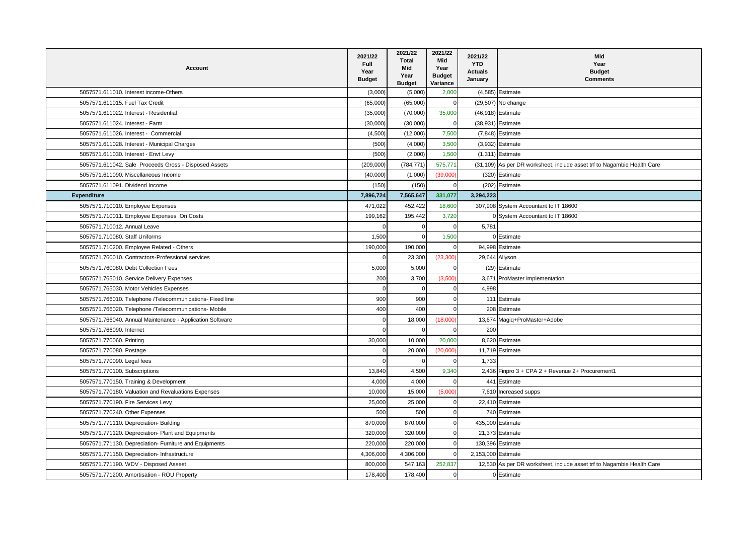| Account                                                   | 2021/22<br><b>Full</b><br>Year<br><b>Budget</b> | 2021/22<br><b>Total</b><br>Mid<br>Year<br><b>Budget</b> | 2021/22<br>Mid<br>Year<br><b>Budget</b><br>Variance | 2021/22<br><b>YTD</b><br><b>Actuals</b><br>January | Mid<br>Year<br><b>Budget</b><br><b>Comments</b>                         |
|-----------------------------------------------------------|-------------------------------------------------|---------------------------------------------------------|-----------------------------------------------------|----------------------------------------------------|-------------------------------------------------------------------------|
| 5057571.611010. Interest income-Others                    | (3,000)                                         | (5,000)                                                 | 2,000                                               |                                                    | $(4,585)$ Estimate                                                      |
| 5057571.611015. Fuel Tax Credit                           | (65,000)                                        | (65,000)                                                | $\Omega$                                            |                                                    | (29,507) No change                                                      |
| 5057571.611022. Interest - Residential                    | (35,000)                                        | (70,000)                                                | 35,000                                              |                                                    | (46,918) Estimate                                                       |
| 5057571.611024. Interest - Farm                           | (30,000)                                        | (30,000)                                                | $\mathbf 0$                                         |                                                    | (38,931) Estimate                                                       |
| 5057571.611026. Interest - Commercial                     | (4,500)                                         | (12,000)                                                | 7,500                                               |                                                    | $(7,848)$ Estimate                                                      |
| 5057571.611028. Interest - Municipal Charges              | (500)                                           | (4,000)                                                 | 3,500                                               |                                                    | (3,932) Estimate                                                        |
| 5057571.611030. Interest - Envt Levy                      | (500)                                           | (2,000)                                                 | 1,500                                               |                                                    | $(1,311)$ Estimate                                                      |
| 5057571.611042. Sale Proceeds Gross - Disposed Assets     | (209,000)                                       | (784, 771)                                              | 575,771                                             |                                                    | (31,109) As per DR worksheet, include asset trf to Nagambie Health Care |
| 5057571.611090. Miscellaneous Income                      | (40,000)                                        | (1,000)                                                 | (39,000)                                            |                                                    | (320) Estimate                                                          |
| 5057571.611091. Dividend Income                           | (150)                                           | (150)                                                   | $\Omega$                                            |                                                    | (202) Estimate                                                          |
| <b>Expenditure</b>                                        | 7,896,724                                       | 7,565,647                                               | 331,077                                             | 3,294,223                                          |                                                                         |
| 5057571.710010. Employee Expenses                         | 471,022                                         | 452,422                                                 | 18,600                                              |                                                    | 307,908 System Accountant to IT 18600                                   |
| 5057571.710011. Employee Expenses On Costs                | 199,162                                         | 195,442                                                 | 3,720                                               |                                                    | 0 System Accountant to IT 18600                                         |
| 5057571.710012. Annual Leave                              | $\Omega$                                        | $\mathbf 0$                                             | $\Omega$                                            | 5,781                                              |                                                                         |
| 5057571.710080. Staff Uniforms                            | 1,500                                           | $\mathbf 0$                                             | 1,500                                               |                                                    | 0 Estimate                                                              |
| 5057571.710200. Employee Related - Others                 | 190,000                                         | 190,000                                                 | $\Omega$                                            |                                                    | 94,998 Estimate                                                         |
| 5057571.760010. Contractors-Professional services         | $\Omega$                                        | 23,300                                                  | (23, 300)                                           |                                                    | 29,644 Allyson                                                          |
| 5057571.760080. Debt Collection Fees                      | 5,000                                           | 5,000                                                   | $\Omega$                                            |                                                    | (29) Estimate                                                           |
| 5057571.765010. Service Delivery Expenses                 | 200                                             | 3,700                                                   | (3,500)                                             |                                                    | 3,671 ProMaster implementation                                          |
| 5057571.765030. Motor Vehicles Expenses                   | $\Omega$                                        | $\mathbf 0$                                             | $\Omega$                                            | 4,998                                              |                                                                         |
| 5057571.766010. Telephone /Telecommunications- Fixed line | 900                                             | 900                                                     | $\Omega$                                            |                                                    | 111 Estimate                                                            |
| 5057571.766020. Telephone /Telecommunications- Mobile     | 400                                             | 400                                                     | $\Omega$                                            |                                                    | 208 Estimate                                                            |
| 5057571.766040. Annual Maintenance - Application Software | $\mathbf 0$                                     | 18,000                                                  | (18,000)                                            |                                                    | 13,674 Magiq+ProMaster+Adobe                                            |
| 5057571.766090. Internet                                  | $\Omega$                                        | $\Omega$                                                | $\Omega$                                            | 200                                                |                                                                         |
| 5057571.770060. Printing                                  | 30,000                                          | 10,000                                                  | 20,000                                              |                                                    | 8,620 Estimate                                                          |
| 5057571.770080. Postage                                   | $\mathbf 0$                                     | 20,000                                                  | (20,000)                                            |                                                    | 11,719 Estimate                                                         |
| 5057571.770090. Legal fees                                | $\Omega$                                        | $\Omega$                                                | $\Omega$                                            | 1,733                                              |                                                                         |
| 5057571.770100. Subscriptions                             | 13,840                                          | 4,500                                                   | 9,340                                               |                                                    | 2,436 Finpro 3 + CPA 2 + Revenue 2+ Procurement1                        |
| 5057571.770150. Training & Development                    | 4,000                                           | 4,000                                                   | $\Omega$                                            |                                                    | 441 Estimate                                                            |
| 5057571.770180. Valuation and Revaluations Expenses       | 10,000                                          | 15,000                                                  | (5,000)                                             |                                                    | 7,610 Increased supps                                                   |
| 5057571.770190. Fire Services Levy                        | 25,000                                          | 25,000                                                  | $\Omega$                                            |                                                    | 22,410 Estimate                                                         |
| 5057571.770240. Other Expenses                            | 500                                             | 500                                                     | $\Omega$                                            |                                                    | 740 Estimate                                                            |
| 5057571.771110. Depreciation- Building                    | 870,000                                         | 870,000                                                 | $\Omega$                                            |                                                    | 435,000 Estimate                                                        |
| 5057571.771120. Depreciation- Plant and Equipments        | 320,000                                         | 320,000                                                 | $\mathbf 0$                                         |                                                    | 21,373 Estimate                                                         |
| 5057571.771130. Depreciation- Furniture and Equipments    | 220,000                                         | 220,000                                                 | $\Omega$                                            |                                                    | 130,396 Estimate                                                        |
| 5057571.771150. Depreciation- Infrastructure              | 4,306,000                                       | 4,306,000                                               | $\Omega$                                            | 2,153,000 Estimate                                 |                                                                         |
| 5057571.771190. WDV - Disposed Assest                     | 800,000                                         | 547,163                                                 | 252,837                                             |                                                    | 12,530 As per DR worksheet, include asset trf to Nagambie Health Care   |
| 5057571.771200. Amortisation - ROU Property               | 178,400                                         | 178,400                                                 | $\Omega$                                            |                                                    | 0 Estimate                                                              |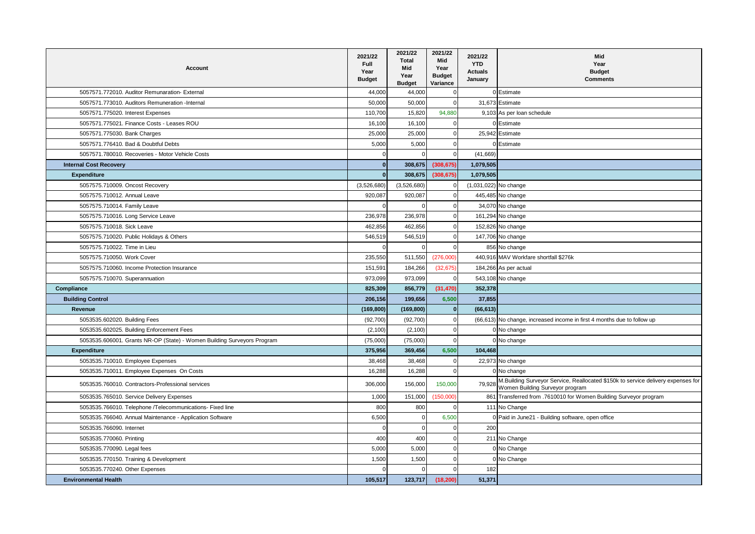| Account                                                                 | 2021/22<br><b>Full</b><br>Year<br><b>Budget</b> | 2021/22<br><b>Total</b><br>Mid<br>Year<br><b>Budget</b> | 2021/22<br>Mid<br>Year<br><b>Budget</b><br>Variance | 2021/22<br><b>YTD</b><br><b>Actuals</b><br>January | Mid<br>Year<br><b>Budget</b><br><b>Comments</b>                                                                            |
|-------------------------------------------------------------------------|-------------------------------------------------|---------------------------------------------------------|-----------------------------------------------------|----------------------------------------------------|----------------------------------------------------------------------------------------------------------------------------|
| 5057571.772010. Auditor Remunaration- External                          | 44,000                                          | 44,000                                                  | $\Omega$                                            |                                                    | 0 Estimate                                                                                                                 |
| 5057571.773010. Auditors Remuneration -Internal                         | 50,000                                          | 50,000                                                  | 0                                                   |                                                    | 31,673 Estimate                                                                                                            |
| 5057571.775020. Interest Expenses                                       | 110,700                                         | 15,820                                                  | 94,880                                              |                                                    | 9,103 As per loan schedule                                                                                                 |
| 5057571.775021. Finance Costs - Leases ROU                              | 16,100                                          | 16,100                                                  | $\Omega$                                            |                                                    | 0 Estimate                                                                                                                 |
| 5057571.775030. Bank Charges                                            | 25,000                                          | 25,000                                                  | $\Omega$                                            |                                                    | 25,942 Estimate                                                                                                            |
| 5057571.776410. Bad & Doubtful Debts                                    | 5,000                                           | 5,000                                                   | $\mathbf 0$                                         |                                                    | 0 Estimate                                                                                                                 |
| 5057571.780010. Recoveries - Motor Vehicle Costs                        | $\Omega$                                        |                                                         | $\Omega$                                            | (41,669)                                           |                                                                                                                            |
| <b>Internal Cost Recovery</b>                                           | $\mathbf{0}$                                    | 308,675                                                 | (308, 675)                                          | 1,079,505                                          |                                                                                                                            |
| <b>Expenditure</b>                                                      | $\bf{0}$                                        | 308,675                                                 | (308, 675)                                          | 1,079,505                                          |                                                                                                                            |
| 5057575.710009. Oncost Recovery                                         | (3,526,680)                                     | (3,526,680)                                             | $\mathbf 0$                                         | (1,031,022) No change                              |                                                                                                                            |
| 5057575.710012. Annual Leave                                            | 920,087                                         | 920,087                                                 | $\Omega$                                            |                                                    | 445,485 No change                                                                                                          |
| 5057575.710014. Family Leave                                            | $\Omega$                                        | $\Omega$                                                | $\Omega$                                            |                                                    | 34,070 No change                                                                                                           |
| 5057575.710016. Long Service Leave                                      | 236,978                                         | 236,978                                                 | $\Omega$                                            |                                                    | 161,294 No change                                                                                                          |
| 5057575.710018. Sick Leave                                              | 462,856                                         | 462,856                                                 | $\Omega$                                            |                                                    | 152,826 No change                                                                                                          |
| 5057575.710020. Public Holidays & Others                                | 546,519                                         | 546,519                                                 | $\Omega$                                            |                                                    | 147,706 No change                                                                                                          |
| 5057575.710022. Time in Lieu                                            | $\Omega$                                        | $\Omega$                                                | $\Omega$                                            |                                                    | 856 No change                                                                                                              |
| 5057575.710050. Work Cover                                              | 235,550                                         | 511,550                                                 | (276,000)                                           |                                                    | 440,916 MAV Workfare shortfall \$276k                                                                                      |
| 5057575.710060. Income Protection Insurance                             | 151,591                                         | 184,266                                                 | (32, 675)                                           |                                                    | 184,266 As per actual                                                                                                      |
| 5057575.710070. Superannuation                                          | 973,099                                         | 973,099                                                 | 0                                                   |                                                    | 543,108 No change                                                                                                          |
| Compliance                                                              | 825,309                                         | 856,779                                                 | (31, 470)                                           | 352,378                                            |                                                                                                                            |
| <b>Building Control</b>                                                 | 206,156                                         | 199,656                                                 | 6,500                                               | 37,855                                             |                                                                                                                            |
| Revenue                                                                 | (169, 800)                                      | (169, 800)                                              | $\Omega$                                            | (66, 613)                                          |                                                                                                                            |
| 5053535.602020. Building Fees                                           | (92,700)                                        | (92,700)                                                | $\Omega$                                            |                                                    | (66,613) No change, increased income in first 4 months due to follow up                                                    |
| 5053535.602025. Building Enforcement Fees                               | (2, 100)                                        | (2, 100)                                                | $\Omega$                                            |                                                    | 0 No change                                                                                                                |
| 5053535.606001. Grants NR-OP (State) - Women Building Surveyors Program | (75,000)                                        | (75,000)                                                | $\mathbf 0$                                         |                                                    | 0 No change                                                                                                                |
| <b>Expenditure</b>                                                      | 375,956                                         | 369,456                                                 | 6,500                                               | 104,468                                            |                                                                                                                            |
| 5053535.710010. Employee Expenses                                       | 38,468                                          | 38,468                                                  | $\Omega$                                            |                                                    | 22,973 No change                                                                                                           |
| 5053535.710011. Employee Expenses On Costs                              | 16,288                                          | 16,288                                                  | $\Omega$                                            |                                                    | 0 No change                                                                                                                |
| 5053535.760010. Contractors-Professional services                       | 306,000                                         | 156,000                                                 | 150,000                                             |                                                    | M.Building Surveyor Service, Reallocated \$150k to service delivery expenses for<br>79,928 Women Building Surveyor program |
| 5053535.765010. Service Delivery Expenses                               | 1,000                                           | 151,000                                                 | (150,000)                                           |                                                    | 861 Transferred from .7610010 for Women Building Surveyor program                                                          |
| 5053535.766010. Telephone /Telecommunications- Fixed line               | 800                                             | 800                                                     | $\Omega$                                            |                                                    | 111 No Change                                                                                                              |
| 5053535.766040. Annual Maintenance - Application Software               | 6,500                                           | $\mathbf 0$                                             | 6,500                                               |                                                    | 0 Paid in June21 - Building software, open office                                                                          |
| 5053535.766090. Internet                                                | $\Omega$                                        | $\Omega$                                                | $\Omega$                                            | 200                                                |                                                                                                                            |
| 5053535.770060. Printing                                                | 400                                             | 400                                                     | $\Omega$                                            |                                                    | 211 No Change                                                                                                              |
| 5053535.770090. Legal fees                                              | 5,000                                           | 5,000                                                   | $\Omega$                                            |                                                    | 0 No Change                                                                                                                |
| 5053535.770150. Training & Development                                  | 1,500                                           | 1,500                                                   | $\Omega$                                            |                                                    | 0 No Change                                                                                                                |
| 5053535.770240. Other Expenses                                          |                                                 | $\Omega$                                                | $\Omega$                                            | 182                                                |                                                                                                                            |
| <b>Environmental Health</b>                                             | 105,517                                         | 123,717                                                 | (18, 200)                                           | 51.371                                             |                                                                                                                            |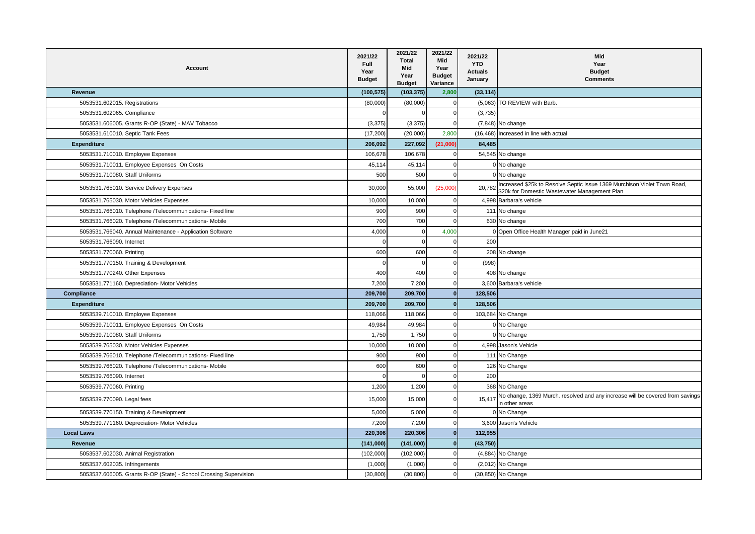| <b>Account</b>                                                    | 2021/22<br>Full<br>Year<br><b>Budget</b> | 2021/22<br>Total<br>Mid<br>Year<br><b>Budget</b> | 2021/22<br>Mid<br>Year<br><b>Budget</b><br>Variance | 2021/22<br><b>YTD</b><br><b>Actuals</b><br>January | Mid<br>Year<br><b>Budget</b><br><b>Comments</b>                                                                           |
|-------------------------------------------------------------------|------------------------------------------|--------------------------------------------------|-----------------------------------------------------|----------------------------------------------------|---------------------------------------------------------------------------------------------------------------------------|
| <b>Revenue</b>                                                    | (100, 575)                               | (103, 375)                                       | 2,800                                               | (33, 114)                                          |                                                                                                                           |
| 5053531.602015. Registrations                                     | (80,000)                                 | (80,000)                                         | $\Omega$                                            |                                                    | (5,063) TO REVIEW with Barb.                                                                                              |
| 5053531.602065. Compliance                                        | $\Omega$                                 | $\mathbf 0$                                      | $\mathbf 0$                                         | (3,735)                                            |                                                                                                                           |
| 5053531.606005. Grants R-OP (State) - MAV Tobacco                 | (3, 375)                                 | (3, 375)                                         | $\mathbf 0$                                         |                                                    | (7,848) No change                                                                                                         |
| 5053531.610010. Septic Tank Fees                                  | (17, 200)                                | (20,000)                                         | 2,800                                               |                                                    | (16,468) Increased in line with actual                                                                                    |
| <b>Expenditure</b>                                                | 206,092                                  | 227,092                                          | (21,000)                                            | 84,485                                             |                                                                                                                           |
| 5053531.710010. Employee Expenses                                 | 106,678                                  | 106,678                                          | $\Omega$                                            |                                                    | 54,545 No change                                                                                                          |
| 5053531.710011. Employee Expenses On Costs                        | 45,114                                   | 45,114                                           | $\mathbf 0$                                         |                                                    | 0 No change                                                                                                               |
| 5053531.710080. Staff Uniforms                                    | 500                                      | 500                                              | $\Omega$                                            |                                                    | 0 No change                                                                                                               |
| 5053531.765010. Service Delivery Expenses                         | 30,000                                   | 55,000                                           | (25,000)                                            | 20,782                                             | Increased \$25k to Resolve Septic issue 1369 Murchison Violet Town Road,<br>\$20k for Domestic Wastewater Management Plan |
| 5053531.765030. Motor Vehicles Expenses                           | 10,000                                   | 10,000                                           | $\Omega$                                            |                                                    | 4,998 Barbara's vehicle                                                                                                   |
| 5053531.766010. Telephone /Telecommunications- Fixed line         | 900                                      | 900                                              | $\Omega$                                            |                                                    | 111 No change                                                                                                             |
| 5053531.766020. Telephone /Telecommunications- Mobile             | 700                                      | 700                                              | $\Omega$                                            |                                                    | 630 No change                                                                                                             |
| 5053531.766040. Annual Maintenance - Application Software         | 4,000                                    | $\mathbf 0$                                      | 4,000                                               |                                                    | 0 Open Office Health Manager paid in June21                                                                               |
| 5053531.766090. Internet                                          | $\Omega$                                 | $\Omega$                                         | $\Omega$                                            | 200                                                |                                                                                                                           |
| 5053531.770060. Printing                                          | 600                                      | 600                                              | $\mathbf 0$                                         |                                                    | 208 No change                                                                                                             |
| 5053531.770150. Training & Development                            | $\mathbf 0$                              | $\mathbf 0$                                      | $\overline{0}$                                      | (998)                                              |                                                                                                                           |
| 5053531.770240. Other Expenses                                    | 400                                      | 400                                              | $\Omega$                                            |                                                    | 408 No change                                                                                                             |
| 5053531.771160. Depreciation- Motor Vehicles                      | 7,200                                    | 7,200                                            | $\Omega$                                            |                                                    | 3,600 Barbara's vehicle                                                                                                   |
| Compliance                                                        | 209,700                                  | 209,700                                          | $\mathbf{0}$                                        | 128,506                                            |                                                                                                                           |
| <b>Expenditure</b>                                                | 209.700                                  | 209.700                                          | $\mathbf{0}$                                        | 128,506                                            |                                                                                                                           |
| 5053539.710010. Employee Expenses                                 | 118.066                                  | 118.066                                          | $\Omega$                                            |                                                    | 103,684 No Change                                                                                                         |
| 5053539.710011. Employee Expenses On Costs                        | 49,984                                   | 49,984                                           | $\Omega$                                            |                                                    | 0 No Change                                                                                                               |
| 5053539.710080. Staff Uniforms                                    | 1,750                                    | 1,750                                            | $\Omega$                                            |                                                    | 0 No Change                                                                                                               |
| 5053539.765030. Motor Vehicles Expenses                           | 10,000                                   | 10,000                                           | $\Omega$                                            |                                                    | 4,998 Jason's Vehicle                                                                                                     |
| 5053539.766010. Telephone /Telecommunications- Fixed line         | 900                                      | 900                                              | $\Omega$                                            |                                                    | 111 No Change                                                                                                             |
| 5053539.766020. Telephone /Telecommunications- Mobile             | 600                                      | 600                                              | $\Omega$                                            |                                                    | 126 No Change                                                                                                             |
| 5053539.766090. Internet                                          | $\Omega$                                 | $\Omega$                                         | $\Omega$                                            | 200                                                |                                                                                                                           |
| 5053539.770060. Printing                                          | 1,200                                    | 1,200                                            | $\Omega$                                            |                                                    | 368 No Change                                                                                                             |
| 5053539.770090. Legal fees                                        | 15,000                                   | 15,000                                           | $\Omega$                                            | 15,417                                             | No change, 1369 Murch. resolved and any increase will be covered from savings<br>in other areas                           |
| 5053539.770150. Training & Development                            | 5,000                                    | 5,000                                            | $\overline{0}$                                      |                                                    | 0 No Change                                                                                                               |
| 5053539.771160. Depreciation- Motor Vehicles                      | 7,200                                    | 7,200                                            | $\Omega$                                            |                                                    | 3,600 Jason's Vehicle                                                                                                     |
| <b>Local Laws</b>                                                 | 220,306                                  | 220,306                                          | $\mathbf{0}$                                        | 112,955                                            |                                                                                                                           |
| <b>Revenue</b>                                                    | (141,000)                                | (141,000)                                        | $\mathbf{0}$                                        | (43,750)                                           |                                                                                                                           |
| 5053537.602030. Animal Registration                               | (102,000)                                | (102,000)                                        | $\mathbf 0$                                         |                                                    | (4,884) No Change                                                                                                         |
| 5053537.602035. Infringements                                     | (1,000)                                  | (1,000)                                          | $\Omega$                                            |                                                    | (2,012) No Change                                                                                                         |
| 5053537.606005. Grants R-OP (State) - School Crossing Supervision | (30, 800)                                | (30, 800)                                        | $\Omega$                                            |                                                    | (30,850) No Change                                                                                                        |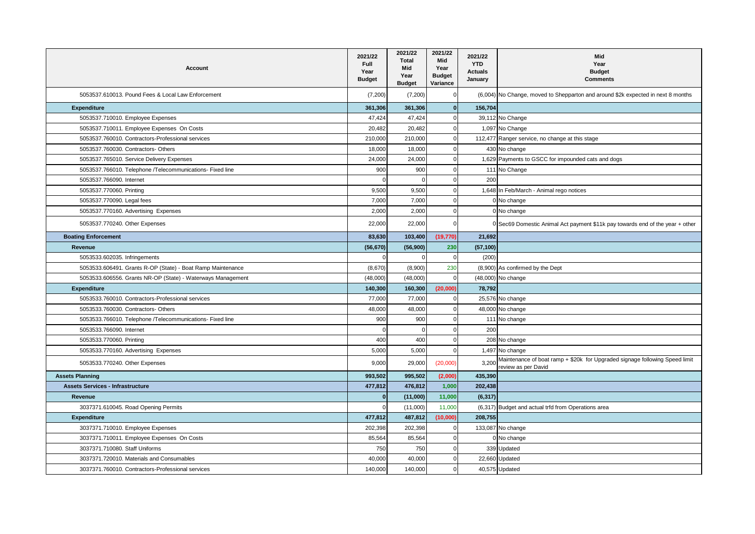| Account                                                     | 2021/22<br>Full<br>Year<br><b>Budget</b> | 2021/22<br><b>Total</b><br>Mid<br>Year<br><b>Budget</b> | 2021/22<br><b>Mid</b><br>Year<br><b>Budget</b><br>Variance | 2021/22<br><b>YTD</b><br><b>Actuals</b><br>January | Mid<br>Year<br><b>Budget</b><br><b>Comments</b>                                                    |
|-------------------------------------------------------------|------------------------------------------|---------------------------------------------------------|------------------------------------------------------------|----------------------------------------------------|----------------------------------------------------------------------------------------------------|
| 5053537.610013. Pound Fees & Local Law Enforcement          | (7, 200)                                 | (7, 200)                                                |                                                            |                                                    | (6,004) No Change, moved to Shepparton and around \$2k expected in next 8 months                   |
| <b>Expenditure</b>                                          | 361,306                                  | 361,306                                                 | $\Omega$                                                   | 156,704                                            |                                                                                                    |
| 5053537.710010. Employee Expenses                           | 47,424                                   | 47,424                                                  | $\Omega$                                                   |                                                    | 39,112 No Change                                                                                   |
| 5053537.710011. Employee Expenses On Costs                  | 20,482                                   | 20,482                                                  | $\Omega$                                                   |                                                    | 1,097 No Change                                                                                    |
| 5053537.760010. Contractors-Professional services           | 210,000                                  | 210,000                                                 | $\Omega$                                                   |                                                    | 112,477 Ranger service, no change at this stage                                                    |
| 5053537.760030. Contractors- Others                         | 18,000                                   | 18,000                                                  | $\Omega$                                                   |                                                    | 430 No change                                                                                      |
| 5053537.765010. Service Delivery Expenses                   | 24,000                                   | 24,000                                                  | $\Omega$                                                   |                                                    | 1,629 Payments to GSCC for impounded cats and dogs                                                 |
| 5053537.766010. Telephone /Telecommunications- Fixed line   | 900                                      | 900                                                     | C                                                          |                                                    | 111 No Change                                                                                      |
| 5053537.766090. Internet                                    | $\Omega$                                 | $\Omega$                                                | $\Omega$                                                   | 200                                                |                                                                                                    |
| 5053537.770060. Printing                                    | 9,500                                    | 9,500                                                   | $\mathbf{0}$                                               |                                                    | 1,648 In Feb/March - Animal rego notices                                                           |
| 5053537.770090. Legal fees                                  | 7,000                                    | 7,000                                                   |                                                            |                                                    | 0 No change                                                                                        |
| 5053537.770160. Advertising Expenses                        | 2.000                                    | 2,000                                                   | $\Omega$                                                   |                                                    | 0 No change                                                                                        |
| 5053537.770240. Other Expenses                              | 22,000                                   | 22,000                                                  | $\Omega$                                                   |                                                    | 0 Sec69 Domestic Animal Act payment \$11k pay towards end of the year + other                      |
| <b>Boating Enforcement</b>                                  | 83,630                                   | 103,400                                                 | (19, 770)                                                  | 21,692                                             |                                                                                                    |
| Revenue                                                     | (56, 670)                                | (56,900)                                                | 230                                                        | (57, 100)                                          |                                                                                                    |
| 5053533.602035. Infringements                               |                                          | $\Omega$                                                | $\Omega$                                                   | (200)                                              |                                                                                                    |
| 5053533.606491. Grants R-OP (State) - Boat Ramp Maintenance | (8,670)                                  | (8,900)                                                 | 230                                                        |                                                    | (8,900) As confirmed by the Dept                                                                   |
| 5053533.606556. Grants NR-OP (State) - Waterways Management | (48,000)                                 | (48,000)                                                | $\Omega$                                                   |                                                    | (48,000) No change                                                                                 |
| Expenditure                                                 | 140,300                                  | 160,300                                                 | (20,000)                                                   | 78,792                                             |                                                                                                    |
| 5053533.760010. Contractors-Professional services           | 77,000                                   | 77,000                                                  | $\Omega$                                                   |                                                    | 25,576 No change                                                                                   |
| 5053533.760030. Contractors- Others                         | 48,000                                   | 48,000                                                  |                                                            |                                                    | 48,000 No change                                                                                   |
| 5053533.766010. Telephone /Telecommunications- Fixed line   | 900                                      | 900                                                     | $\Omega$                                                   |                                                    | 111 No change                                                                                      |
| 5053533.766090. Internet                                    | $\Omega$                                 | $\Omega$                                                | $\Omega$                                                   | 200                                                |                                                                                                    |
| 5053533.770060. Printing                                    | 400                                      | 400                                                     | $\Omega$                                                   |                                                    | 208 No change                                                                                      |
| 5053533.770160. Advertising Expenses                        | 5,000                                    | 5,000                                                   | $\Omega$                                                   |                                                    | 1,497 No change                                                                                    |
| 5053533.770240. Other Expenses                              | 9,000                                    | 29,000                                                  | (20,000)                                                   | 3,200                                              | Maintenance of boat ramp + \$20k for Upgraded signage following Speed limit<br>review as per David |
| <b>Assets Planning</b>                                      | 993,502                                  | 995,502                                                 | (2,000)                                                    | 435,390                                            |                                                                                                    |
| <b>Assets Services - Infrastructure</b>                     | 477,812                                  | 476,812                                                 | 1,000                                                      | 202,438                                            |                                                                                                    |
| Revenue                                                     | $\mathbf{0}$                             | (11,000)                                                | 11,000                                                     | (6, 317)                                           |                                                                                                    |
| 3037371.610045. Road Opening Permits                        | $\cap$                                   | (11,000)                                                | 11,000                                                     |                                                    | (6,317) Budget and actual trfd from Operations area                                                |
| <b>Expenditure</b>                                          | 477,812                                  | 487,812                                                 | (10,000)                                                   | 208,755                                            |                                                                                                    |
| 3037371.710010. Employee Expenses                           | 202,398                                  | 202,398                                                 | $\Omega$                                                   |                                                    | 133,087 No change                                                                                  |
| 3037371.710011. Employee Expenses On Costs                  | 85,564                                   | 85,564                                                  | $\Omega$                                                   |                                                    | No change                                                                                          |
| 3037371.710080. Staff Uniforms                              | 750                                      | 750                                                     | $\cap$                                                     |                                                    | 339 Updated                                                                                        |
| 3037371.720010. Materials and Consumables                   | 40,000                                   | 40,000                                                  | $\Omega$                                                   |                                                    | 22,660 Updated                                                                                     |
| 3037371.760010. Contractors-Professional services           | 140,000                                  | 140,000                                                 | $\Omega$                                                   |                                                    | 40,575 Updated                                                                                     |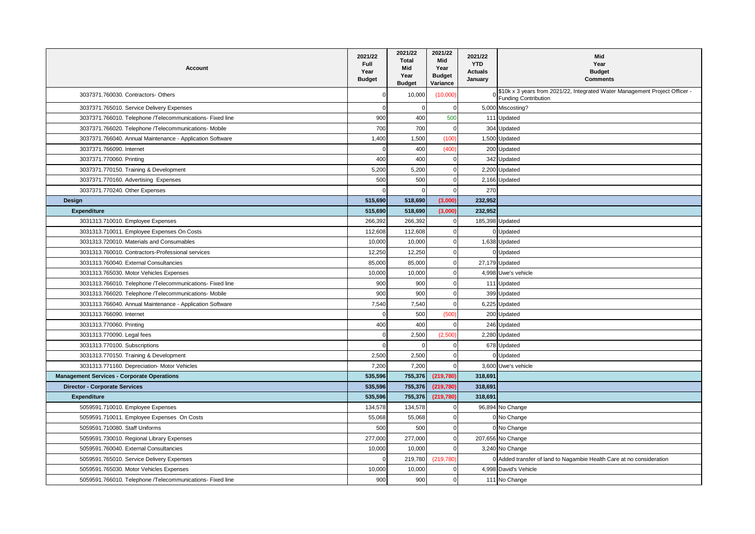| Account                                                   | 2021/22<br><b>Full</b><br>Year<br><b>Budget</b> | 2021/22<br><b>Total</b><br>Mid<br>Year<br><b>Budget</b> | 2021/22<br>Mid<br>Year<br><b>Budget</b><br>Variance | 2021/22<br><b>YTD</b><br><b>Actuals</b><br>January | Mid<br>Year<br><b>Budget</b><br><b>Comments</b>                                                            |
|-----------------------------------------------------------|-------------------------------------------------|---------------------------------------------------------|-----------------------------------------------------|----------------------------------------------------|------------------------------------------------------------------------------------------------------------|
| 3037371.760030. Contractors- Others                       | $\mathbf 0$                                     | 10,000                                                  | (10,000)                                            |                                                    | \$10k x 3 years from 2021/22, Integrated Water Management Project Officer -<br><b>Funding Contribution</b> |
| 3037371.765010. Service Delivery Expenses                 | $\Omega$                                        | $\Omega$                                                | $\Omega$                                            |                                                    | 5,000 Miscosting?                                                                                          |
| 3037371.766010. Telephone /Telecommunications- Fixed line | 900                                             | 400                                                     | 500                                                 |                                                    | 111 Updated                                                                                                |
| 3037371.766020. Telephone /Telecommunications- Mobile     | 700                                             | 700                                                     | $\Omega$                                            |                                                    | 304 Updated                                                                                                |
| 3037371.766040. Annual Maintenance - Application Software | 1,400                                           | 1,500                                                   | (100)                                               |                                                    | 1,500 Updated                                                                                              |
| 3037371.766090. Internet                                  | $\Omega$                                        | 400                                                     | (400)                                               |                                                    | 200 Updated                                                                                                |
| 3037371.770060. Printing                                  | 400                                             | 400                                                     | $\Omega$                                            |                                                    | 342 Updated                                                                                                |
| 3037371.770150. Training & Development                    | 5,200                                           | 5,200                                                   | $\Omega$                                            |                                                    | 2,200 Updated                                                                                              |
| 3037371.770160. Advertising Expenses                      | 500                                             | 500                                                     | $\Omega$                                            |                                                    | 2,166 Updated                                                                                              |
| 3037371.770240. Other Expenses                            | $\Omega$                                        | $\Omega$                                                | $\Omega$                                            | 270                                                |                                                                                                            |
| Design                                                    | 515,690                                         | 518,690                                                 | (3,000)                                             | 232,952                                            |                                                                                                            |
| <b>Expenditure</b>                                        | 515.690                                         | 518,690                                                 | (3.000)                                             | 232.952                                            |                                                                                                            |
| 3031313.710010. Employee Expenses                         | 266,392                                         | 266,392                                                 | $\Omega$                                            |                                                    | 185,398 Updated                                                                                            |
| 3031313.710011. Employee Expenses On Costs                | 112,608                                         | 112,608                                                 | $\Omega$                                            |                                                    | 0 Updated                                                                                                  |
| 3031313.720010. Materials and Consumables                 | 10,000                                          | 10,000                                                  | $\mathbf 0$                                         |                                                    | 1,638 Updated                                                                                              |
| 3031313.760010. Contractors-Professional services         | 12,250                                          | 12,250                                                  | $\Omega$                                            |                                                    | 0 Updated                                                                                                  |
| 3031313.760040. External Consultancies                    | 85,000                                          | 85,000                                                  | $\Omega$                                            |                                                    | 27,179 Updated                                                                                             |
| 3031313.765030. Motor Vehicles Expenses                   | 10,000                                          | 10,000                                                  | $\Omega$                                            |                                                    | 4,998 Uwe's vehicle                                                                                        |
| 3031313.766010. Telephone /Telecommunications- Fixed line | 900                                             | 900                                                     | $\Omega$                                            |                                                    | 111 Updated                                                                                                |
| 3031313.766020. Telephone /Telecommunications- Mobile     | 900                                             | 900                                                     | $\Omega$                                            |                                                    | 399 Updated                                                                                                |
| 3031313.766040. Annual Maintenance - Application Software | 7,540                                           | 7,540                                                   | $\Omega$                                            |                                                    | 6,225 Updated                                                                                              |
| 3031313.766090. Internet                                  | $\Omega$                                        | 500                                                     | (500)                                               |                                                    | 200 Updated                                                                                                |
| 3031313.770060. Printing                                  | 400                                             | 400                                                     | $\Omega$                                            |                                                    | 246 Updated                                                                                                |
| 3031313.770090. Legal fees                                | $\mathbf 0$                                     | 2,500                                                   | (2,500)                                             |                                                    | 2,280 Updated                                                                                              |
| 3031313.770100. Subscriptions                             | $\Omega$                                        | $\Omega$                                                | $\Omega$                                            |                                                    | 678 Updated                                                                                                |
| 3031313.770150. Training & Development                    | 2,500                                           | 2,500                                                   | $\Omega$                                            |                                                    | 0 Updated                                                                                                  |
| 3031313.771160. Depreciation- Motor Vehicles              | 7,200                                           | 7,200                                                   | $\Omega$                                            |                                                    | 3,600 Uwe's vehicle                                                                                        |
| <b>Management Services - Corporate Operations</b>         | 535,596                                         | 755,376                                                 | (219,780)                                           | 318,691                                            |                                                                                                            |
| <b>Director - Corporate Services</b>                      | 535,596                                         | 755,376                                                 | (219, 780)                                          | 318,691                                            |                                                                                                            |
| <b>Expenditure</b>                                        | 535,596                                         | 755,376                                                 | (219, 780)                                          | 318,691                                            |                                                                                                            |
| 5059591.710010. Employee Expenses                         | 134,578                                         | 134,578                                                 | $\Omega$                                            |                                                    | 96,894 No Change                                                                                           |
| 5059591.710011. Employee Expenses On Costs                | 55,068                                          | 55,068                                                  | $\Omega$                                            |                                                    | 0 No Change                                                                                                |
| 5059591.710080. Staff Uniforms                            | 500                                             | 500                                                     | $\Omega$                                            |                                                    | 0 No Change                                                                                                |
| 5059591.730010. Regional Library Expenses                 | 277,000                                         | 277,000                                                 | $\mathbf 0$                                         |                                                    | 207,656 No Change                                                                                          |
| 5059591.760040. External Consultancies                    | 10,000                                          | 10,000                                                  | $\Omega$                                            |                                                    | 3,240 No Change                                                                                            |
| 5059591.765010. Service Delivery Expenses                 | $\Omega$                                        | 219,780                                                 | (219,780)                                           |                                                    | 0 Added transfer of land to Nagambie Health Care at no consideration                                       |
| 5059591.765030. Motor Vehicles Expenses                   | 10,000                                          | 10,000                                                  | $\Omega$                                            |                                                    | 4,998 David's Vehicle                                                                                      |
| 5059591.766010. Telephone /Telecommunications- Fixed line | 900                                             | 900                                                     | $\Omega$                                            |                                                    | 111 No Change                                                                                              |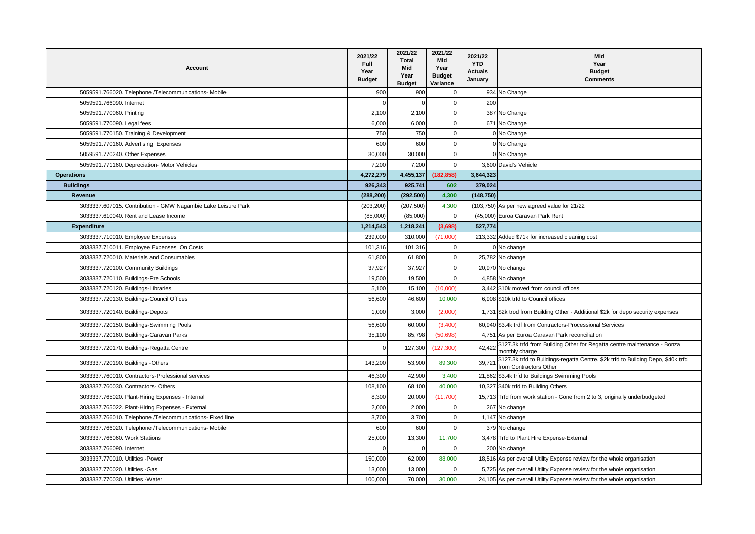| <b>Account</b>                                                | 2021/22<br><b>Full</b><br>Year<br><b>Budget</b> | 2021/22<br><b>Total</b><br>Mid<br>Year<br><b>Budget</b> | 2021/22<br>Mid<br>Year<br><b>Budget</b><br>Variance | 2021/22<br><b>YTD</b><br><b>Actuals</b><br>January | Mid<br>Year<br><b>Budget</b><br><b>Comments</b>                                                             |
|---------------------------------------------------------------|-------------------------------------------------|---------------------------------------------------------|-----------------------------------------------------|----------------------------------------------------|-------------------------------------------------------------------------------------------------------------|
| 5059591.766020. Telephone /Telecommunications- Mobile         | 900                                             | 900                                                     | $\Omega$                                            |                                                    | 934 No Change                                                                                               |
| 5059591.766090. Internet                                      | $\Omega$                                        | $\Omega$                                                | $\Omega$                                            | 200                                                |                                                                                                             |
| 5059591.770060. Printing                                      | 2,100                                           | 2,100                                                   | $\Omega$                                            |                                                    | 387 No Change                                                                                               |
| 5059591.770090. Legal fees                                    | 6,000                                           | 6,000                                                   | $\Omega$                                            |                                                    | 671 No Change                                                                                               |
| 5059591.770150. Training & Development                        | 750                                             | 750                                                     | $\Omega$                                            |                                                    | 0 No Change                                                                                                 |
| 5059591.770160. Advertising Expenses                          | 600                                             | 600                                                     | $\Omega$                                            |                                                    | 0 No Change                                                                                                 |
| 5059591.770240. Other Expenses                                | 30,000                                          | 30,000                                                  | -0                                                  |                                                    | 0 No Change                                                                                                 |
| 5059591.771160. Depreciation- Motor Vehicles                  | 7,200                                           | 7.200                                                   | $\Omega$                                            |                                                    | 3,600 David's Vehicle                                                                                       |
| <b>Operations</b>                                             | 4,272,279                                       | 4,455,137                                               | (182, 858)                                          | 3,644,323                                          |                                                                                                             |
| <b>Buildings</b>                                              | 926,343                                         | 925,741                                                 | 602                                                 | 379,024                                            |                                                                                                             |
| Revenue                                                       | (288, 200)                                      | (292, 500)                                              | 4,300                                               | (148, 750)                                         |                                                                                                             |
| 3033337.607015. Contribution - GMW Nagambie Lake Leisure Park | (203, 200)                                      | (207, 500)                                              | 4,300                                               |                                                    | (103,750) As per new agreed value for 21/22                                                                 |
| 3033337.610040. Rent and Lease Income                         | (85,000)                                        | (85,000)                                                |                                                     |                                                    | (45,000) Euroa Caravan Park Rent                                                                            |
| <b>Expenditure</b>                                            | 1,214,543                                       | 1,218,241                                               | (3,698)                                             | 527.774                                            |                                                                                                             |
| 3033337.710010. Employee Expenses                             | 239,000                                         | 310,000                                                 | (71,000)                                            |                                                    | 213,332 Added \$71k for increased cleaning cost                                                             |
| 3033337.710011. Employee Expenses On Costs                    | 101,316                                         | 101,316                                                 | $\Omega$                                            |                                                    | 0 No change                                                                                                 |
| 3033337.720010. Materials and Consumables                     | 61,800                                          | 61,800                                                  | $\mathbf 0$                                         |                                                    | 25,782 No change                                                                                            |
| 3033337.720100. Community Buildings                           | 37,927                                          | 37,927                                                  | $\Omega$                                            |                                                    | 20,970 No change                                                                                            |
| 3033337.720110. Buildings-Pre Schools                         | 19,500                                          | 19,500                                                  | -0                                                  |                                                    | 4,858 No change                                                                                             |
| 3033337.720120. Buildings-Libraries                           | 5,100                                           | 15,100                                                  | (10,000)                                            |                                                    | 3,442 \$10k moved from council offices                                                                      |
| 3033337.720130. Buildings-Council Offices                     | 56,600                                          | 46,600                                                  | 10,000                                              |                                                    | 6,908 \$10k trfd to Council offices                                                                         |
| 3033337.720140. Buildings-Depots                              | 1,000                                           | 3,000                                                   | (2,000)                                             |                                                    | 1,731 \$2k trod from Building Other - Additional \$2k for depo security expenses                            |
| 3033337.720150. Buildings-Swimming Pools                      | 56,600                                          | 60,000                                                  | (3, 400)                                            |                                                    | 60,940 \$3.4k trdf from Contractors-Processional Services                                                   |
| 3033337.720160. Buildings-Caravan Parks                       | 35,100                                          | 85,798                                                  | (50, 698)                                           |                                                    | 4,751 As per Euroa Caravan Park reconciliation                                                              |
| 3033337.720170. Buildings-Regatta Centre                      | $\Omega$                                        | 127,300                                                 | (127, 300)                                          | 42.422                                             | \$127.3k trfd from Building Other for Regatta centre maintenance - Bonza<br>monthly charge                  |
| 3033337.720190. Buildings -Others                             | 143,200                                         | 53,900                                                  | 89,300                                              | 39,721                                             | \$127.3k trfd to Buildings-regatta Centre. \$2k trfd to Building Depo, \$40k trfd<br>from Contractors Other |
| 3033337.760010. Contractors-Professional services             | 46,300                                          | 42,900                                                  | 3,400                                               |                                                    | 21,862 \$3.4k trfd to Buildings Swimming Pools                                                              |
| 3033337.760030. Contractors- Others                           | 108,100                                         | 68,100                                                  | 40,000                                              |                                                    | 10,327 \$40k trfd to Building Others                                                                        |
| 3033337.765020. Plant-Hiring Expenses - Internal              | 8,300                                           | 20,000                                                  | (11,700)                                            |                                                    | 15,713 Trfd from work station - Gone from 2 to 3, originally underbudgeted                                  |
| 3033337.765022. Plant-Hiring Expenses - External              | 2,000                                           | 2,000                                                   | $\Omega$                                            |                                                    | 267 No change                                                                                               |
| 3033337.766010. Telephone /Telecommunications- Fixed line     | 3,700                                           | 3,700                                                   | $\Omega$                                            |                                                    | 1,147 No change                                                                                             |
| 3033337.766020. Telephone /Telecommunications- Mobile         | 600                                             | 600                                                     | $\Omega$                                            |                                                    | 379 No change                                                                                               |
| 3033337.766060. Work Stations                                 | 25,000                                          | 13,300                                                  | 11,700                                              |                                                    | 3,478 Trfd to Plant Hire Expense-External                                                                   |
| 3033337.766090. Internet                                      | $\Omega$                                        | $\Omega$                                                | $\Omega$                                            |                                                    | 200 No change                                                                                               |
| 3033337.770010. Utilities -Power                              | 150,000                                         | 62,000                                                  | 88,000                                              |                                                    | 18,516 As per overall Utility Expense review for the whole organisation                                     |
| 3033337.770020. Utilities - Gas                               | 13,000                                          | 13,000                                                  | $\Omega$                                            |                                                    | 5,725 As per overall Utility Expense review for the whole organisation                                      |
| 3033337.770030. Utilities - Water                             | 100,000                                         | 70,000                                                  | 30,000                                              |                                                    | 24,105 As per overall Utility Expense review for the whole organisation                                     |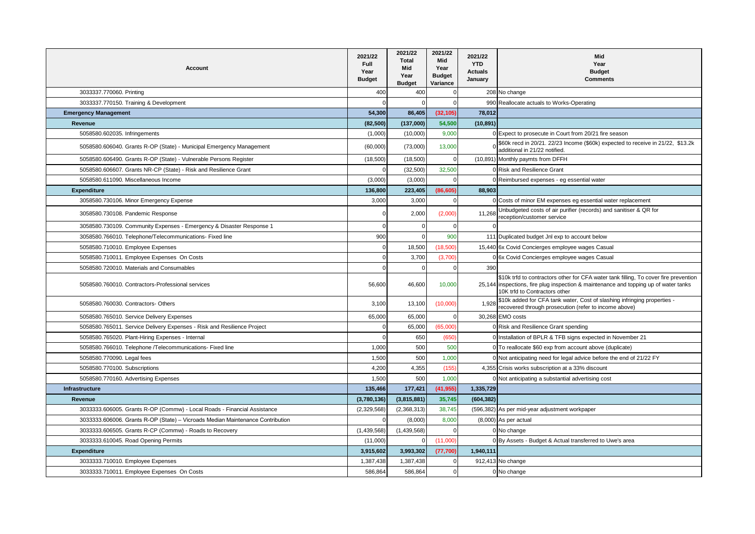| Account                                                                        | 2021/22<br>Full<br>Year<br><b>Budget</b> | 2021/22<br>Total<br>Mid<br>Year<br><b>Budget</b> | 2021/22<br>Mid<br>Year<br><b>Budget</b><br>Variance | 2021/22<br><b>YTD</b><br><b>Actuals</b><br>January | Mid<br>Year<br><b>Budget</b><br><b>Comments</b>                                                                                                                                                               |
|--------------------------------------------------------------------------------|------------------------------------------|--------------------------------------------------|-----------------------------------------------------|----------------------------------------------------|---------------------------------------------------------------------------------------------------------------------------------------------------------------------------------------------------------------|
| 3033337.770060. Printing                                                       | 400                                      | 400                                              |                                                     |                                                    | 208 No change                                                                                                                                                                                                 |
| 3033337.770150. Training & Development                                         |                                          | $\Omega$                                         | $\Omega$                                            |                                                    | 990 Reallocate actuals to Works-Operating                                                                                                                                                                     |
| <b>Emergency Management</b>                                                    | 54,300                                   | 86,405                                           | (32, 105)                                           | 78,012                                             |                                                                                                                                                                                                               |
| Revenue                                                                        | (82, 500)                                | (137,000)                                        | 54,500                                              | (10, 891)                                          |                                                                                                                                                                                                               |
| 5058580.602035. Infringements                                                  | (1,000)                                  | (10,000)                                         | 9,000                                               |                                                    | 0 Expect to prosecute in Court from 20/21 fire season                                                                                                                                                         |
| 5058580.606040. Grants R-OP (State) - Municipal Emergency Management           | (60,000)                                 | (73,000)                                         | 13,000                                              |                                                    | \$60k recd in 20/21. 22/23 Income (\$60k) expected to receive in 21/22, \$13.2k<br>additional in 21/22 notified.                                                                                              |
| 5058580.606490. Grants R-OP (State) - Vulnerable Persons Register              | (18,500)                                 | (18,500)                                         | $\Omega$                                            |                                                    | (10,891) Monthly paymts from DFFH                                                                                                                                                                             |
| 5058580.606607. Grants NR-CP (State) - Risk and Resilience Grant               | $\Omega$                                 | (32, 500)                                        | 32,500                                              |                                                    | 0 Risk and Resilience Grant                                                                                                                                                                                   |
| 5058580.611090. Miscellaneous Income                                           | (3,000)                                  | (3,000)                                          | $\sqrt{ }$                                          |                                                    | 0 Reimbursed expenses - eg essential water                                                                                                                                                                    |
| <b>Expenditure</b>                                                             | 136,800                                  | 223,405                                          | (86, 605)                                           | 88,903                                             |                                                                                                                                                                                                               |
| 3058580.730106. Minor Emergency Expense                                        | 3,000                                    | 3,000                                            | $\Omega$                                            |                                                    | 0 Costs of minor EM expenses eg essential water replacement                                                                                                                                                   |
| 3058580.730108. Pandemic Response                                              | $\Omega$                                 | 2,000                                            | (2,000)                                             | 11,268                                             | Unbudgeted costs of air purifier (records) and sanitiser & QR for<br>reception/customer service                                                                                                               |
| 3058580.730109. Community Expenses - Emergency & Disaster Response 1           | $\Omega$                                 | $\Omega$                                         | $\Omega$                                            |                                                    |                                                                                                                                                                                                               |
| 3058580.766010. Telephone/Telecommunications- Fixed line                       | 900                                      | $\Omega$                                         | 900                                                 |                                                    | 111 Duplicated budget Jnl exp to account below                                                                                                                                                                |
| 5058580.710010. Employee Expenses                                              | $\Omega$                                 | 18,500                                           | (18,500)                                            |                                                    | 15,440 6x Covid Concierges employee wages Casual                                                                                                                                                              |
| 5058580.710011. Employee Expenses On Costs                                     | $\Omega$                                 | 3,700                                            | (3,700)                                             |                                                    | 0 6x Covid Concierges employee wages Casual                                                                                                                                                                   |
| 5058580.720010. Materials and Consumables                                      | $\Omega$                                 | $\Omega$                                         | $\Omega$                                            | 390                                                |                                                                                                                                                                                                               |
| 5058580.760010. Contractors-Professional services                              | 56,600                                   | 46,600                                           | 10,000                                              |                                                    | \$10k trfd to contractors other for CFA water tank filling, To cover fire prevention<br>25,144 inspections, fire plug inspection & maintenance and topping up of water tanks<br>10K trfd to Contractors other |
| 5058580.760030, Contractors-Others                                             | 3.100                                    | 13.100                                           | (10,000)                                            | 1.928                                              | \$10k added for CFA tank water, Cost of slashing infringing properties -<br>recovered through prosecution (refer to income above)                                                                             |
| 5058580.765010. Service Delivery Expenses                                      | 65,000                                   | 65,000                                           | $\Omega$                                            |                                                    | 30,268 EMO costs                                                                                                                                                                                              |
| 5058580.765011. Service Delivery Expenses - Risk and Resilience Project        | $\Omega$                                 | 65,000                                           | (65,000)                                            |                                                    | 0 Risk and Resilience Grant spending                                                                                                                                                                          |
| 5058580.765020. Plant-Hiring Expenses - Internal                               |                                          | 650                                              | (650)                                               |                                                    | Installation of BPLR & TFB signs expected in November 21                                                                                                                                                      |
| 5058580.766010. Telephone /Telecommunications- Fixed line                      | 1,000                                    | 500                                              | 500                                                 |                                                    | 0 To reallocate \$60 exp from account above (duplicate)                                                                                                                                                       |
| 5058580.770090. Legal fees                                                     | 1,500                                    | 500                                              | 1,000                                               |                                                    | 0 Not anticipating need for legal advice before the end of 21/22 FY                                                                                                                                           |
| 5058580.770100. Subscriptions                                                  | 4,200                                    | 4,355                                            | (155)                                               |                                                    | 4,355 Crisis works subscription at a 33% discount                                                                                                                                                             |
| 5058580.770160. Advertising Expenses                                           | 1,500                                    | 500                                              | 1,000                                               |                                                    | 0 Not anticipating a substantial advertising cost                                                                                                                                                             |
| Infrastructure                                                                 | 135,466                                  | 177,421                                          | (41, 955)                                           | 1.335.729                                          |                                                                                                                                                                                                               |
| Revenue                                                                        | (3,780,136)                              | (3,815,881)                                      | 35,745                                              | (604, 382)                                         |                                                                                                                                                                                                               |
| 3033333.606005. Grants R-OP (Commw) - Local Roads - Financial Assistance       | (2,329,568)                              | (2,368,313)                                      | 38,745                                              |                                                    | (596,382) As per mid-year adjustment workpaper                                                                                                                                                                |
| 3033333.606006. Grants R-OP (State) - Vicroads Median Maintenance Contribution | $\Omega$                                 | (8,000)                                          | 8,000                                               |                                                    | $(8,000)$ As per actual                                                                                                                                                                                       |
| 3033333.606505. Grants R-CP (Commw) - Roads to Recovery                        | (1,439,568)                              | (1,439,568)                                      | $\Omega$                                            |                                                    | 0 No change                                                                                                                                                                                                   |
| 3033333.610045. Road Opening Permits                                           | (11,000)                                 | $\Omega$                                         | (11,000)                                            |                                                    | 0 By Assets - Budget & Actual transferred to Uwe's area                                                                                                                                                       |
| <b>Expenditure</b>                                                             | 3,915,602                                | 3,993,302                                        | (77,700)                                            | 1,940,111                                          |                                                                                                                                                                                                               |
| 3033333.710010. Employee Expenses                                              | 1,387,438                                | 1,387,438                                        | $\Omega$                                            |                                                    | 912,413 No change                                                                                                                                                                                             |
| 3033333.710011. Employee Expenses On Costs                                     | 586,864                                  | 586,864                                          | $\Omega$                                            |                                                    | 0 No change                                                                                                                                                                                                   |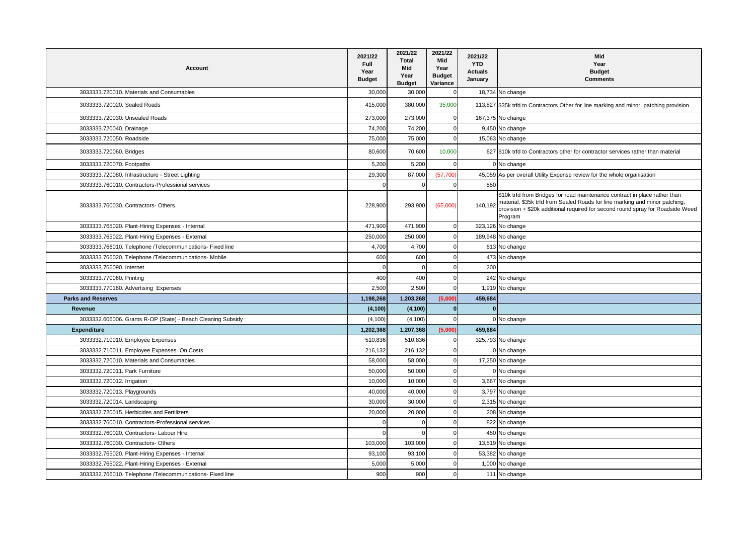| Account                                                      | 2021/22<br><b>Full</b><br>Year<br><b>Budget</b> | 2021/22<br><b>Total</b><br>Mid<br>Year<br><b>Budget</b> | 2021/22<br>Mid<br>Year<br><b>Budget</b><br>Variance | 2021/22<br><b>YTD</b><br><b>Actuals</b><br>January | Mid<br>Year<br><b>Budget</b><br><b>Comments</b>                                                                                                                                                                                                        |
|--------------------------------------------------------------|-------------------------------------------------|---------------------------------------------------------|-----------------------------------------------------|----------------------------------------------------|--------------------------------------------------------------------------------------------------------------------------------------------------------------------------------------------------------------------------------------------------------|
| 3033333.720010. Materials and Consumables                    | 30,000                                          | 30,000                                                  | $\mathbf 0$                                         |                                                    | 18,734 No change                                                                                                                                                                                                                                       |
| 3033333.720020. Sealed Roads                                 | 415,000                                         | 380,000                                                 | 35,000                                              |                                                    | 113,827 \$35k trfd to Contractors Other for line marking and minor patching provision                                                                                                                                                                  |
| 3033333.720030. Unsealed Roads                               | 273,000                                         | 273,000                                                 | $\mathbf 0$                                         |                                                    | 167,375 No change                                                                                                                                                                                                                                      |
| 3033333.720040. Drainage                                     | 74,200                                          | 74,200                                                  | $\mathbf 0$                                         |                                                    | 9,450 No change                                                                                                                                                                                                                                        |
| 3033333.720050. Roadside                                     | 75,000                                          | 75,000                                                  | $\Omega$                                            |                                                    | 15,063 No change                                                                                                                                                                                                                                       |
| 3033333.720060. Bridges                                      | 80,600                                          | 70,600                                                  | 10,000                                              |                                                    | 627 \$10k trfd to Contractors other for contractor services rather than material                                                                                                                                                                       |
| 3033333.720070. Footpaths                                    | 5,200                                           | 5,200                                                   | $\Omega$                                            |                                                    | 0 No change                                                                                                                                                                                                                                            |
| 3033333.720080. Infrastructure - Street Lighting             | 29,300                                          | 87,000                                                  | (57,700)                                            |                                                    | 45,059 As per overall Utility Expense review for the whole organisation                                                                                                                                                                                |
| 3033333.760010. Contractors-Professional services            |                                                 |                                                         | $\Omega$                                            | 850                                                |                                                                                                                                                                                                                                                        |
| 3033333.760030. Contractors- Others                          | 228,900                                         | 293,900                                                 | (65,000)                                            | 140,192                                            | \$10k trfd from Bridges for road maintenance contract in place rather than<br>material, \$35k trfd from Sealed Roads for line marking and minor patching,<br>provision + \$20k additional required for second round spray for Roadside Weed<br>Program |
| 3033333.765020. Plant-Hiring Expenses - Internal             | 471,900                                         | 471.900                                                 | $\mathbf 0$                                         |                                                    | 323,126 No change                                                                                                                                                                                                                                      |
| 3033333.765022. Plant-Hiring Expenses - External             | 250.000                                         | 250,000                                                 | $\mathbf 0$                                         |                                                    | 189,948 No change                                                                                                                                                                                                                                      |
| 3033333.766010. Telephone /Telecommunications- Fixed line    | 4,700                                           | 4,700                                                   | $\mathbf 0$                                         |                                                    | 613 No change                                                                                                                                                                                                                                          |
| 3033333.766020. Telephone /Telecommunications- Mobile        | 600                                             | 600                                                     | $\overline{0}$                                      |                                                    | 473 No change                                                                                                                                                                                                                                          |
| 3033333.766090. Internet                                     | $\Omega$                                        | $\Omega$                                                | $\mathbf 0$                                         | 200                                                |                                                                                                                                                                                                                                                        |
| 3033333.770060. Printing                                     | 400                                             | 400                                                     | $\Omega$                                            |                                                    | 242 No change                                                                                                                                                                                                                                          |
| 3033333.770160. Advertising Expenses                         | 2.500                                           | 2.500                                                   | $\mathbf 0$                                         |                                                    | 1,919 No change                                                                                                                                                                                                                                        |
| <b>Parks and Reserves</b>                                    | 1,198,268                                       | 1,203,268                                               | (5,000)                                             | 459.684                                            |                                                                                                                                                                                                                                                        |
| Revenue                                                      | (4, 100)                                        | (4, 100)                                                | $\mathbf{0}$                                        |                                                    |                                                                                                                                                                                                                                                        |
| 3033332.606006. Grants R-OP (State) - Beach Cleaning Subsidy | (4, 100)                                        | (4, 100)                                                | $\mathbf 0$                                         |                                                    | 0 No change                                                                                                                                                                                                                                            |
| <b>Expenditure</b>                                           | 1,202,368                                       | 1,207,368                                               | (5,000)                                             | 459,684                                            |                                                                                                                                                                                                                                                        |
| 3033332.710010. Employee Expenses                            | 510,836                                         | 510,836                                                 | $\mathbf 0$                                         |                                                    | 325,793 No change                                                                                                                                                                                                                                      |
| 3033332.710011. Employee Expenses On Costs                   | 216,132                                         | 216,132                                                 | $\Omega$                                            |                                                    | 0 No change                                                                                                                                                                                                                                            |
| 3033332.720010. Materials and Consumables                    | 58,000                                          | 58,000                                                  | 0                                                   |                                                    | 17,250 No change                                                                                                                                                                                                                                       |
| 3033332.720011. Park Furniture                               | 50,000                                          | 50,000                                                  | $\Omega$                                            |                                                    | 0 No change                                                                                                                                                                                                                                            |
| 3033332.720012. Irrigation                                   | 10,000                                          | 10,000                                                  | $\mathbf 0$                                         |                                                    | 3,667 No change                                                                                                                                                                                                                                        |
| 3033332.720013. Playgrounds                                  | 40,000                                          | 40,000                                                  | $\mathbf 0$                                         |                                                    | 3,797 No change                                                                                                                                                                                                                                        |
| 3033332.720014. Landscaping                                  | 30,000                                          | 30,000                                                  | $\mathbf 0$                                         |                                                    | 2,315 No change                                                                                                                                                                                                                                        |
| 3033332.720015. Herbicides and Fertilizers                   | 20,000                                          | 20,000                                                  | $\mathbf 0$                                         |                                                    | 208 No change                                                                                                                                                                                                                                          |
| 3033332.760010. Contractors-Professional services            |                                                 |                                                         | $\mathbf 0$                                         |                                                    | 822 No change                                                                                                                                                                                                                                          |
| 3033332.760020. Contractors- Labour Hire                     | $\Omega$                                        | $\Omega$                                                | $\mathbf 0$                                         |                                                    | 450 No change                                                                                                                                                                                                                                          |
| 3033332.760030. Contractors- Others                          | 103,000                                         | 103,000                                                 | $\mathbf 0$                                         |                                                    | 13,519 No change                                                                                                                                                                                                                                       |
| 3033332.765020. Plant-Hiring Expenses - Internal             | 93,100                                          | 93,100                                                  | $\mathbf 0$                                         |                                                    | 53,382 No change                                                                                                                                                                                                                                       |
| 3033332.765022. Plant-Hiring Expenses - External             | 5,000                                           | 5,000                                                   | $\Omega$                                            |                                                    | 1,000 No change                                                                                                                                                                                                                                        |
| 3033332.766010. Telephone /Telecommunications- Fixed line    | 900                                             | 900                                                     | $\Omega$                                            |                                                    | 111 No change                                                                                                                                                                                                                                          |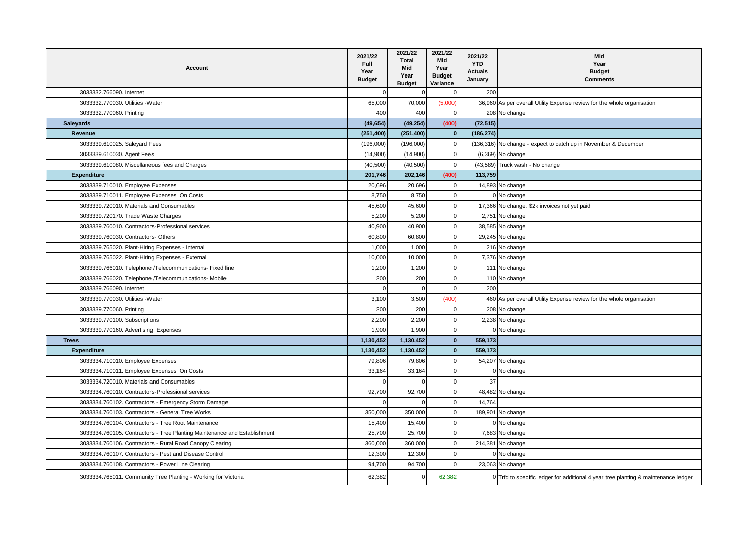| <b>Account</b>                                                            | 2021/22<br>Full<br>Year<br><b>Budget</b> | 2021/22<br><b>Total</b><br>Mid<br>Year<br><b>Budget</b> | 2021/22<br>Mid<br>Year<br><b>Budget</b><br>Variance | 2021/22<br><b>YTD</b><br><b>Actuals</b><br>January | Mid<br>Year<br><b>Budget</b><br><b>Comments</b>                                    |
|---------------------------------------------------------------------------|------------------------------------------|---------------------------------------------------------|-----------------------------------------------------|----------------------------------------------------|------------------------------------------------------------------------------------|
| 3033332.766090. Internet                                                  |                                          |                                                         | $\Omega$                                            | 200                                                |                                                                                    |
| 3033332.770030. Utilities - Water                                         | 65,000                                   | 70,000                                                  | (5,000)                                             |                                                    | 36,960 As per overall Utility Expense review for the whole organisation            |
| 3033332.770060. Printing                                                  | 400                                      | 400                                                     | $\Omega$                                            |                                                    | 208 No change                                                                      |
| <b>Saleyards</b>                                                          | (49, 654)                                | (49, 254)                                               | (400)                                               | (72, 515)                                          |                                                                                    |
| Revenue                                                                   | (251, 400)                               | (251, 400)                                              | $\mathbf{0}$                                        | (186, 274)                                         |                                                                                    |
| 3033339.610025. Saleyard Fees                                             | (196,000)                                | (196,000)                                               | $\Omega$                                            |                                                    | (136,316) No change - expect to catch up in November & December                    |
| 3033339.610030. Agent Fees                                                | (14,900)                                 | (14,900)                                                | $\Omega$                                            |                                                    | (6,369) No change                                                                  |
| 3033339.610080. Miscellaneous fees and Charges                            | (40, 500)                                | (40, 500)                                               | 0                                                   |                                                    | (43,589) Truck wash - No change                                                    |
| <b>Expenditure</b>                                                        | 201,746                                  | 202,146                                                 | (400)                                               | 113,759                                            |                                                                                    |
| 3033339.710010. Employee Expenses                                         | 20,696                                   | 20,696                                                  | $\Omega$                                            |                                                    | 14,893 No change                                                                   |
| 3033339.710011. Employee Expenses On Costs                                | 8,750                                    | 8,750                                                   | $\Omega$                                            |                                                    | 0 No change                                                                        |
| 3033339.720010. Materials and Consumables                                 | 45,600                                   | 45,600                                                  | $\mathbf 0$                                         |                                                    | 17,366 No change. \$2k invoices not yet paid                                       |
| 3033339.720170. Trade Waste Charges                                       | 5,200                                    | 5,200                                                   | $\Omega$                                            |                                                    | 2,751 No change                                                                    |
| 3033339.760010. Contractors-Professional services                         | 40,900                                   | 40,900                                                  | $\Omega$                                            |                                                    | 38,585 No change                                                                   |
| 3033339.760030. Contractors- Others                                       | 60,800                                   | 60,800                                                  | $\Omega$                                            |                                                    | 29,245 No change                                                                   |
| 3033339.765020. Plant-Hiring Expenses - Internal                          | 1,000                                    | 1,000                                                   | $\Omega$                                            |                                                    | 216 No change                                                                      |
| 3033339.765022. Plant-Hiring Expenses - External                          | 10,000                                   | 10,000                                                  | $\mathbf 0$                                         |                                                    | 7,376 No change                                                                    |
| 3033339.766010. Telephone /Telecommunications- Fixed line                 | 1,200                                    | 1,200                                                   | $\Omega$                                            |                                                    | 111 No change                                                                      |
| 3033339.766020. Telephone /Telecommunications- Mobile                     | 200                                      | 200                                                     | $\mathbf 0$                                         |                                                    | 110 No change                                                                      |
| 3033339.766090. Internet                                                  | $\Omega$                                 | $\Omega$                                                | $\mathbf 0$                                         | 200                                                |                                                                                    |
| 3033339.770030. Utilities - Water                                         | 3,100                                    | 3,500                                                   | (400)                                               |                                                    | 460 As per overall Utility Expense review for the whole organisation               |
| 3033339.770060. Printing                                                  | 200                                      | 200                                                     | 0                                                   |                                                    | 208 No change                                                                      |
| 3033339.770100. Subscriptions                                             | 2,200                                    | 2,200                                                   | $\Omega$                                            |                                                    | 2,238 No change                                                                    |
| 3033339.770160. Advertising Expenses                                      | 1,900                                    | 1,900                                                   | $\mathbf 0$                                         |                                                    | 0 No change                                                                        |
| <b>Trees</b>                                                              | 1,130,452                                | 1,130,452                                               | $\mathbf 0$                                         | 559,173                                            |                                                                                    |
| <b>Expenditure</b>                                                        | 1,130,452                                | 1,130,452                                               | $\Omega$                                            | 559.173                                            |                                                                                    |
| 3033334.710010. Employee Expenses                                         | 79,806                                   | 79,806                                                  | $\Omega$                                            |                                                    | 54,207 No change                                                                   |
| 3033334.710011. Employee Expenses On Costs                                | 33,164                                   | 33,164                                                  | $\Omega$                                            |                                                    | 0 No change                                                                        |
| 3033334.720010. Materials and Consumables                                 | $\Omega$                                 | $\Omega$                                                | $\Omega$                                            | 37                                                 |                                                                                    |
| 3033334.760010. Contractors-Professional services                         | 92,700                                   | 92,700                                                  | $\Omega$                                            |                                                    | 48,482 No change                                                                   |
| 3033334.760102. Contractors - Emergency Storm Damage                      | $\Omega$                                 |                                                         | $\Omega$                                            | 14,764                                             |                                                                                    |
| 3033334.760103. Contractors - General Tree Works                          | 350,000                                  | 350,000                                                 | 0                                                   |                                                    | 189,901 No change                                                                  |
| 3033334.760104. Contractors - Tree Root Maintenance                       | 15,400                                   | 15,400                                                  | $\Omega$                                            |                                                    | 0 No change                                                                        |
| 3033334.760105. Contractors - Tree Planting Maintenance and Establishment | 25,700                                   | 25,700                                                  | 0                                                   |                                                    | 7,683 No change                                                                    |
| 3033334.760106. Contractors - Rural Road Canopy Clearing                  | 360,000                                  | 360,000                                                 | $\Omega$                                            |                                                    | 214,381 No change                                                                  |
| 3033334.760107. Contractors - Pest and Disease Control                    | 12,300                                   | 12,300                                                  | $\Omega$                                            |                                                    | 0 No change                                                                        |
| 3033334.760108. Contractors - Power Line Clearing                         | 94,700                                   | 94,700                                                  | $\Omega$                                            |                                                    | 23,063 No change                                                                   |
| 3033334.765011. Community Tree Planting - Working for Victoria            | 62,382                                   | $\mathbf 0$                                             | 62,382                                              |                                                    | 0 Trfd to specific ledger for additional 4 year tree planting & maintenance ledger |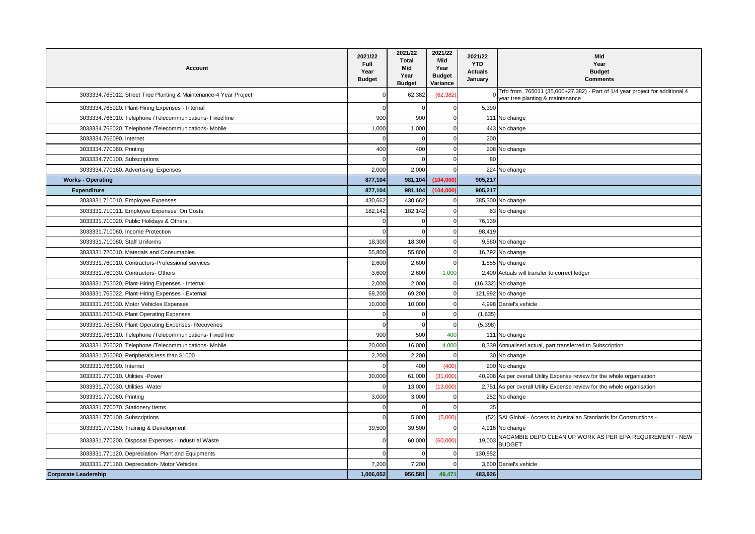| <b>Account</b>                                                    | 2021/22<br><b>Full</b><br>Year<br><b>Budget</b> | 2021/22<br><b>Total</b><br>Mid<br>Year<br><b>Budget</b> | 2021/22<br>Mid<br>Year<br><b>Budget</b><br>Variance | 2021/22<br><b>YTD</b><br><b>Actuals</b><br>January | Mid<br>Year<br><b>Budget</b><br><b>Comments</b>                                                                   |
|-------------------------------------------------------------------|-------------------------------------------------|---------------------------------------------------------|-----------------------------------------------------|----------------------------------------------------|-------------------------------------------------------------------------------------------------------------------|
| 3033334.765012. Street Tree Planting & Maintenance-4 Year Project | $\mathbf 0$                                     | 62,382                                                  | (62, 382)                                           |                                                    | Trfd from .765011 (35,000+27,382) - Part of 1/4 year project for additional 4<br>year tree planting & maintenance |
| 3033334.765020. Plant-Hiring Expenses - Internal                  | $\Omega$                                        | $\Omega$                                                | $\overline{0}$                                      | 5,390                                              |                                                                                                                   |
| 3033334.766010. Telephone /Telecommunications- Fixed line         | 900                                             | 900                                                     | $\Omega$                                            |                                                    | 111 No change                                                                                                     |
| 3033334.766020. Telephone /Telecommunications- Mobile             | 1,000                                           | 1,000                                                   | $\Omega$                                            |                                                    | 443 No change                                                                                                     |
| 3033334.766090. Internet                                          | $\overline{0}$                                  | $\mathbf 0$                                             | $\Omega$                                            | 200                                                |                                                                                                                   |
| 3033334.770060. Printing                                          | 400                                             | 400                                                     | $\Omega$                                            |                                                    | 208 No change                                                                                                     |
| 3033334.770100. Subscriptions                                     | $\Omega$                                        | $\mathbf 0$                                             | $\Omega$                                            | 80                                                 |                                                                                                                   |
| 3033334.770160. Advertising Expenses                              | 2,000                                           | 2.000                                                   | $\Omega$                                            |                                                    | 224 No change                                                                                                     |
| <b>Works - Operating</b>                                          | 877,104                                         | 981,104                                                 | (104,000)                                           | 905,217                                            |                                                                                                                   |
| <b>Expenditure</b>                                                | 877,104                                         | 981,104                                                 | (104,000)                                           | 905,217                                            |                                                                                                                   |
| 3033331.710010. Employee Expenses                                 | 430,662                                         | 430,662                                                 | $\Omega$                                            |                                                    | 385,300 No change                                                                                                 |
| 3033331.710011. Employee Expenses On Costs                        | 182,142                                         | 182,142                                                 | $\overline{0}$                                      |                                                    | 63 No change                                                                                                      |
| 3033331.710020. Public Holidays & Others                          | $\Omega$                                        | $\Omega$                                                | $\mathbf 0$                                         | 76,139                                             |                                                                                                                   |
| 3033331.710060. Income Protection                                 | $\Omega$                                        | $\Omega$                                                | $\Omega$                                            | 98.419                                             |                                                                                                                   |
| 3033331.710080. Staff Uniforms                                    | 18,300                                          | 18,300                                                  | $\mathbf 0$                                         |                                                    | 9,580 No change                                                                                                   |
| 3033331.720010. Materials and Consumables                         | 55,800                                          | 55,800                                                  | $\Omega$                                            |                                                    | 16,792 No change                                                                                                  |
| 3033331.760010. Contractors-Professional services                 | 2,600                                           | 2,600                                                   | $\Omega$                                            |                                                    | 1,855 No change                                                                                                   |
| 3033331.760030. Contractors- Others                               | 3,600                                           | 2,600                                                   | 1,000                                               |                                                    | 2,400 Actuals will transfer to correct ledger                                                                     |
| 3033331.765020. Plant-Hiring Expenses - Internal                  | 2,000                                           | 2,000                                                   | $\Omega$                                            |                                                    | (16,332) No change                                                                                                |
| 3033331.765022. Plant-Hiring Expenses - External                  | 69,200                                          | 69,200                                                  | $\Omega$                                            |                                                    | 121,992 No change                                                                                                 |
| 3033331.765030. Motor Vehicles Expenses                           | 10,000                                          | 10,000                                                  | $\Omega$                                            |                                                    | 4.998 Daniel's vehicle                                                                                            |
| 3033331.765040. Plant Operating Expenses                          | $\Omega$                                        | $\mathbf 0$                                             | $\mathbf 0$                                         | (1,635)                                            |                                                                                                                   |
| 3033331.765050. Plant Operating Expenses-Recoveries               | $\Omega$                                        | $\Omega$                                                | $\Omega$                                            | (5, 398)                                           |                                                                                                                   |
| 3033331.766010. Telephone /Telecommunications- Fixed line         | 900                                             | 500                                                     | 400                                                 |                                                    | 111 No change                                                                                                     |
| 3033331.766020. Telephone /Telecommunications- Mobile             | 20,000                                          | 16,000                                                  | 4,000                                               |                                                    | 8,339 Annualised actual, part transferred to Subscription                                                         |
| 3033331.766080. Peripherals less than \$1000                      | 2,200                                           | 2,200                                                   | $\overline{0}$                                      |                                                    | 30 No change                                                                                                      |
| 3033331.766090. Internet                                          | $\Omega$                                        | 400                                                     | (400)                                               |                                                    | 200 No change                                                                                                     |
| 3033331.770010. Utilities -Power                                  | 30,000                                          | 61,000                                                  | (31,000)                                            |                                                    | 40,908 As per overall Utility Expense review for the whole organisation                                           |
| 3033331.770030. Utilities - Water                                 | $\Omega$                                        | 13,000                                                  | (13,000)                                            |                                                    | 2,751 As per overall Utility Expense review for the whole organisation                                            |
| 3033331.770060. Printing                                          | 3,000                                           | 3,000                                                   | $\Omega$                                            |                                                    | 252 No change                                                                                                     |
| 3033331.770070. Stationery Items                                  | $\Omega$                                        | $\Omega$                                                | $\Omega$                                            | 35                                                 |                                                                                                                   |
| 3033331.770100. Subscriptions                                     | $\Omega$                                        | 5.000                                                   | (5,000)                                             |                                                    | (52) SAI Global - Access to Australian Standards for Constructions -                                              |
| 3033331.770150. Training & Development                            | 39,500                                          | 39.500                                                  | $\Omega$                                            |                                                    | 4,916 No change                                                                                                   |
| 3033331.770200. Disposal Expenses - Industrial Waste              | $\mathbf 0$                                     | 60,000                                                  | (60,000)                                            | 19,003                                             | NAGAMBIE DEPO CLEAN UP WORK AS PER EPA REQUIREMENT - NEW<br><b>BUDGET</b>                                         |
| 3033331.771120. Depreciation- Plant and Equipments                | $\Omega$                                        | $\Omega$                                                | $\mathbf 0$                                         | 130,952                                            |                                                                                                                   |
| 3033331.771160. Depreciation- Motor Vehicles                      | 7,200                                           | 7,200                                                   | $\Omega$                                            |                                                    | 3,600 Daniel's vehicle                                                                                            |
| <b>Corporate Leadership</b>                                       | 1,006,052                                       | 956.581                                                 | 49.471                                              | 483,926                                            |                                                                                                                   |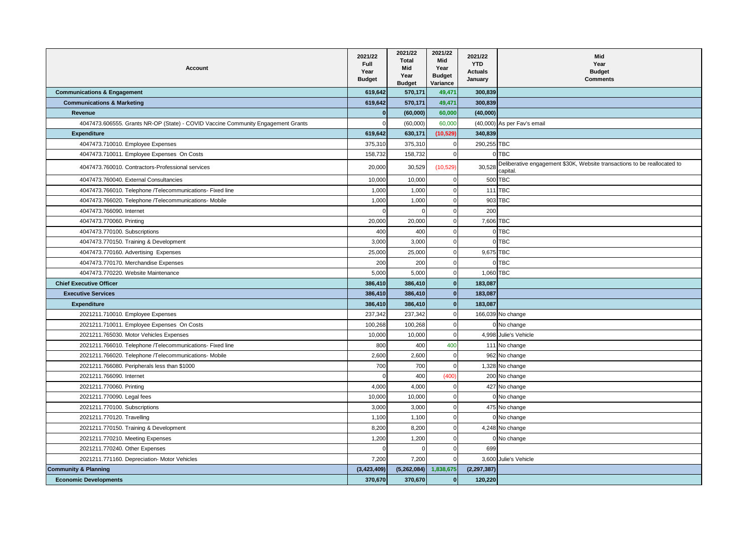| Account                                                                          | 2021/22<br>Full<br>Year<br><b>Budget</b> | 2021/22<br><b>Total</b><br>Mid<br>Year<br><b>Budget</b> | 2021/22<br>Mid<br>Year<br><b>Budget</b><br>Variance | 2021/22<br><b>YTD</b><br><b>Actuals</b><br>January | Mid<br>Year<br><b>Budget</b><br><b>Comments</b>                                             |
|----------------------------------------------------------------------------------|------------------------------------------|---------------------------------------------------------|-----------------------------------------------------|----------------------------------------------------|---------------------------------------------------------------------------------------------|
| <b>Communications &amp; Engagement</b>                                           | 619,642                                  | 570,171                                                 | 49,471                                              | 300,839                                            |                                                                                             |
| <b>Communications &amp; Marketing</b>                                            | 619.642                                  | 570,171                                                 | 49,471                                              | 300,839                                            |                                                                                             |
| Revenue                                                                          | $\Omega$                                 | (60,000)                                                | 60,000                                              | (40,000)                                           |                                                                                             |
| 4047473.606555. Grants NR-OP (State) - COVID Vaccine Community Engagement Grants | $\Omega$                                 | (60,000)                                                | 60,000                                              |                                                    | (40,000) As per Fav's email                                                                 |
| <b>Expenditure</b>                                                               | 619.642                                  | 630,171                                                 | (10.529)                                            | 340.839                                            |                                                                                             |
| 4047473.710010. Employee Expenses                                                | 375,310                                  | 375,310                                                 | $\Omega$                                            | 290,255 TBC                                        |                                                                                             |
| 4047473.710011. Employee Expenses On Costs                                       | 158,732                                  | 158,732                                                 | $\Omega$                                            |                                                    | 0 TBC                                                                                       |
| 4047473.760010. Contractors-Professional services                                | 20,000                                   | 30,529                                                  | (10, 529)                                           |                                                    | 30,528 Deliberative engagement \$30K, Website transactions to be reallocated to<br>capital. |
| 4047473.760040. External Consultancies                                           | 10.000                                   | 10,000                                                  | $\mathbf 0$                                         |                                                    | 500 TBC                                                                                     |
| 4047473.766010. Telephone /Telecommunications- Fixed line                        | 1,000                                    | 1,000                                                   | $\Omega$                                            |                                                    | 111 TBC                                                                                     |
| 4047473.766020. Telephone /Telecommunications- Mobile                            | 1,000                                    | 1,000                                                   | $\Omega$                                            |                                                    | 903 TBC                                                                                     |
| 4047473.766090. Internet                                                         | $\Omega$                                 | $\Omega$                                                | $\Omega$                                            | 200                                                |                                                                                             |
| 4047473.770060. Printing                                                         | 20,000                                   | 20,000                                                  | $\Omega$                                            | 7,606 TBC                                          |                                                                                             |
| 4047473.770100. Subscriptions                                                    | 400                                      | 400                                                     | $\Omega$                                            |                                                    | 0 TBC                                                                                       |
| 4047473.770150. Training & Development                                           | 3,000                                    | 3,000                                                   | $\Omega$                                            |                                                    | 0 TBC                                                                                       |
| 4047473.770160. Advertising Expenses                                             | 25,000                                   | 25,000                                                  | $\mathbf 0$                                         | 9,675 TBC                                          |                                                                                             |
| 4047473.770170. Merchandise Expenses                                             | 200                                      | 200                                                     | $\Omega$                                            |                                                    | 0 TBC                                                                                       |
| 4047473.770220. Website Maintenance                                              | 5,000                                    | 5,000                                                   | $\mathbf 0$                                         | 1,060 TBC                                          |                                                                                             |
| <b>Chief Executive Officer</b>                                                   | 386,410                                  | 386,410                                                 | $\Omega$                                            | 183,087                                            |                                                                                             |
| <b>Executive Services</b>                                                        | 386,410                                  | 386,410                                                 | $\mathbf{0}$                                        | 183,087                                            |                                                                                             |
| <b>Expenditure</b>                                                               | 386,410                                  | 386.410                                                 | $\Omega$                                            | 183.087                                            |                                                                                             |
| 2021211.710010. Employee Expenses                                                | 237,342                                  | 237,342                                                 | $\mathbf 0$                                         |                                                    | 166,039 No change                                                                           |
| 2021211.710011. Employee Expenses On Costs                                       | 100,268                                  | 100,268                                                 | $\Omega$                                            |                                                    | 0 No change                                                                                 |
| 2021211.765030. Motor Vehicles Expenses                                          | 10,000                                   | 10,000                                                  | $\Omega$                                            |                                                    | 4,998 Julie's Vehicle                                                                       |
| 2021211.766010. Telephone /Telecommunications- Fixed line                        | 800                                      | 400                                                     | 400                                                 |                                                    | 111 No change                                                                               |
| 2021211.766020. Telephone /Telecommunications- Mobile                            | 2,600                                    | 2,600                                                   | $\Omega$                                            |                                                    | 962 No change                                                                               |
| 2021211.766080. Peripherals less than \$1000                                     | 700                                      | 700                                                     | $\Omega$                                            |                                                    | 1,328 No change                                                                             |
| 2021211.766090. Internet                                                         | $\Omega$                                 | 400                                                     | (400)                                               |                                                    | 200 No change                                                                               |
| 2021211.770060. Printing                                                         | 4,000                                    | 4,000                                                   | $\Omega$                                            |                                                    | 427 No change                                                                               |
| 2021211.770090. Legal fees                                                       | 10,000                                   | 10,000                                                  | $\Omega$                                            |                                                    | 0 No change                                                                                 |
| 2021211.770100. Subscriptions                                                    | 3,000                                    | 3,000                                                   | 0                                                   |                                                    | 475 No change                                                                               |
| 2021211.770120. Travelling                                                       | 1,100                                    | 1,100                                                   | $\Omega$                                            |                                                    | 0 No change                                                                                 |
| 2021211.770150. Training & Development                                           | 8,200                                    | 8,200                                                   | $\mathbf 0$                                         |                                                    | 4,248 No change                                                                             |
| 2021211.770210. Meeting Expenses                                                 | 1,200                                    | 1,200                                                   | $\Omega$                                            |                                                    | 0 No change                                                                                 |
| 2021211.770240. Other Expenses                                                   | $\Omega$                                 | $\Omega$                                                | $\Omega$                                            | 699                                                |                                                                                             |
| 2021211.771160. Depreciation- Motor Vehicles                                     | 7,200                                    | 7,200                                                   | $\Omega$                                            |                                                    | 3,600 Julie's Vehicle                                                                       |
| <b>Community &amp; Planning</b>                                                  | (3,423,409)                              | (5,262,084)                                             | 1,838,675                                           | (2, 297, 387)                                      |                                                                                             |
| <b>Economic Developments</b>                                                     | 370,670                                  | 370,670                                                 | $\mathbf{0}$                                        | 120.220                                            |                                                                                             |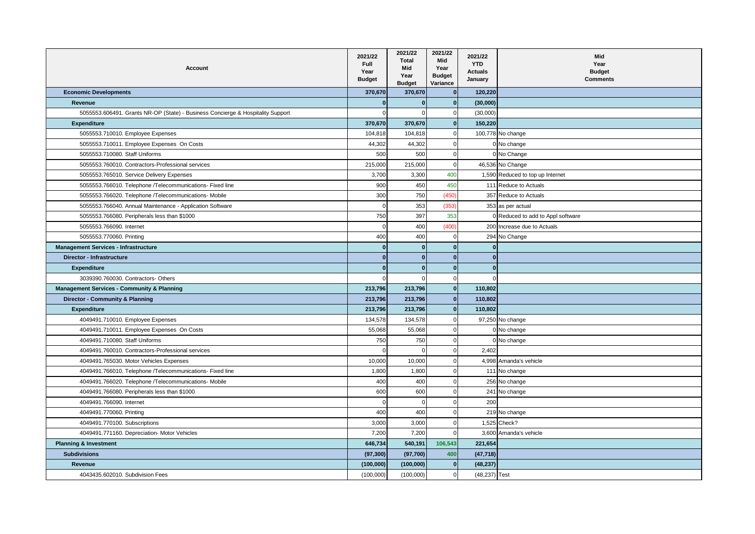| <b>Account</b>                                                                  | 2021/22<br><b>Full</b><br>Year<br><b>Budget</b> | 2021/22<br><b>Total</b><br>Mid<br>Year<br><b>Budget</b> | 2021/22<br>Mid<br>Year<br><b>Budget</b><br>Variance | 2021/22<br><b>YTD</b><br><b>Actuals</b><br>January | Mid<br>Year<br><b>Budget</b><br><b>Comments</b> |
|---------------------------------------------------------------------------------|-------------------------------------------------|---------------------------------------------------------|-----------------------------------------------------|----------------------------------------------------|-------------------------------------------------|
| <b>Economic Developments</b>                                                    | 370,670                                         | 370,670                                                 | $\bf{0}$                                            | 120,220                                            |                                                 |
| Revenue                                                                         | $\mathbf{0}$                                    | $\bf{0}$                                                | $\mathbf{0}$                                        | (30,000)                                           |                                                 |
| 5055553.606491. Grants NR-OP (State) - Business Concierge & Hospitality Support | $\Omega$                                        | $\Omega$                                                | $\mathbf 0$                                         | (30,000)                                           |                                                 |
| <b>Expenditure</b>                                                              | 370,670                                         | 370,670                                                 | $\mathbf{0}$                                        | 150,220                                            |                                                 |
| 5055553.710010. Employee Expenses                                               | 104,818                                         | 104,818                                                 | $\Omega$                                            |                                                    | 100,778 No change                               |
| 5055553.710011. Employee Expenses On Costs                                      | 44,302                                          | 44,302                                                  | $\mathbf 0$                                         |                                                    | 0 No change                                     |
| 5055553.710080. Staff Uniforms                                                  | 500                                             | 500                                                     | $\mathbf 0$                                         |                                                    | 0 No Change                                     |
| 5055553.760010. Contractors-Professional services                               | 215,000                                         | 215,000                                                 | $\mathbf 0$                                         |                                                    | 46,536 No Change                                |
| 5055553.765010. Service Delivery Expenses                                       | 3,700                                           | 3,300                                                   | 400                                                 |                                                    | 1,590 Reduced to top up Internet                |
| 5055553.766010. Telephone /Telecommunications- Fixed line                       | 900                                             | 450                                                     | 450                                                 |                                                    | 111 Reduce to Actuals                           |
| 5055553.766020. Telephone /Telecommunications- Mobile                           | 300                                             | 750                                                     | (450)                                               |                                                    | 357 Reduce to Actuals                           |
| 5055553.766040. Annual Maintenance - Application Software                       | $\mathbf 0$                                     | 353                                                     | (353)                                               |                                                    | 353 as per actual                               |
| 5055553.766080. Peripherals less than \$1000                                    | 750                                             | 397                                                     | 353                                                 |                                                    | 0 Reduced to add to Appl software               |
| 5055553.766090. Internet                                                        | $\Omega$                                        | 400                                                     | (400)                                               |                                                    | 200 Increase due to Actuals                     |
| 5055553.770060. Printing                                                        | 400                                             | 400                                                     | $\Omega$                                            |                                                    | 294 No Change                                   |
| <b>Management Services - Infrastructure</b>                                     | $\mathbf{0}$                                    | $\bf{0}$                                                | $\mathbf{0}$                                        | $\mathbf{0}$                                       |                                                 |
| Director - Infrastructure                                                       | $\bf{0}$                                        | $\bf{0}$                                                | $\bf{0}$                                            |                                                    |                                                 |
| <b>Expenditure</b>                                                              | $\bf{0}$                                        | $\bf{0}$                                                | $\mathbf{0}$                                        | $\bf{0}$                                           |                                                 |
| 3039390.760030. Contractors- Others                                             |                                                 |                                                         | $\Omega$                                            |                                                    |                                                 |
| <b>Management Services - Community &amp; Planning</b>                           | 213,796                                         | 213,796                                                 | $\mathbf{0}$                                        | 110,802                                            |                                                 |
| <b>Director - Community &amp; Planning</b>                                      | 213,796                                         | 213,796                                                 | $\mathbf{0}$                                        | 110,802                                            |                                                 |
| <b>Expenditure</b>                                                              | 213,796                                         | 213,796                                                 | $\mathbf{0}$                                        | 110,802                                            |                                                 |
| 4049491.710010. Employee Expenses                                               | 134,578                                         | 134,578                                                 | $\mathbf 0$                                         |                                                    | 97,250 No change                                |
| 4049491.710011. Employee Expenses On Costs                                      | 55,068                                          | 55,068                                                  | $\Omega$                                            |                                                    | 0 No change                                     |
| 4049491.710080. Staff Uniforms                                                  | 750                                             | 750                                                     | $\Omega$                                            |                                                    | 0 No change                                     |
| 4049491.760010. Contractors-Professional services                               | $\Omega$                                        | $\Omega$                                                | $\mathbf 0$                                         | 2,402                                              |                                                 |
| 4049491.765030. Motor Vehicles Expenses                                         | 10,000                                          | 10,000                                                  | $\mathbf 0$                                         |                                                    | 4,998 Amanda's vehicle                          |
| 4049491.766010. Telephone /Telecommunications- Fixed line                       | 1,800                                           | 1,800                                                   | $\mathbf 0$                                         |                                                    | 111 No change                                   |
| 4049491.766020. Telephone /Telecommunications- Mobile                           | 400                                             | 400                                                     | $\Omega$                                            |                                                    | 256 No change                                   |
| 4049491.766080. Peripherals less than \$1000                                    | 600                                             | 600                                                     | $\mathbf 0$                                         |                                                    | 241 No change                                   |
| 4049491.766090. Internet                                                        | $\mathbf 0$                                     | $\Omega$                                                | $\mathbf 0$                                         | 200                                                |                                                 |
| 4049491.770060. Printing                                                        | 400                                             | 400                                                     | $\Omega$                                            |                                                    | 219 No change                                   |
| 4049491.770100. Subscriptions                                                   | 3,000                                           | 3,000                                                   | $\mathbf 0$                                         |                                                    | 1,525 Check?                                    |
| 4049491.771160. Depreciation- Motor Vehicles                                    | 7,200                                           | 7,200                                                   | $\Omega$                                            |                                                    | 3,600 Amanda's vehicle                          |
| <b>Planning &amp; Investment</b>                                                | 646,734                                         | 540,191                                                 | 106,543                                             | 221,654                                            |                                                 |
| <b>Subdivisions</b>                                                             | (97, 300)                                       | (97,700)                                                | 400                                                 | (47, 718)                                          |                                                 |
| Revenue                                                                         | (100, 000)                                      | (100,000)                                               | $\mathbf 0$                                         | (48, 237)                                          |                                                 |
| 4043435.602010. Subdivision Fees                                                | (100,000)                                       | (100,000)                                               | 0                                                   | (48,237) Test                                      |                                                 |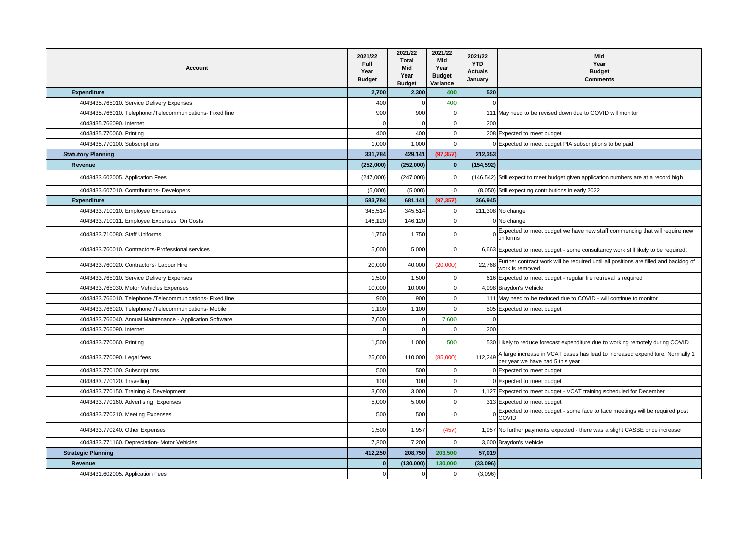| <b>Account</b>                                            | 2021/22<br><b>Full</b><br>Year<br><b>Budget</b> | 2021/22<br>Total<br>Mid<br>Year<br><b>Budget</b> | 2021/22<br>Mid<br>Year<br><b>Budget</b><br>Variance | 2021/22<br><b>YTD</b><br><b>Actuals</b><br>January | Mid<br>Year<br><b>Budget</b><br><b>Comments</b>                                                                  |
|-----------------------------------------------------------|-------------------------------------------------|--------------------------------------------------|-----------------------------------------------------|----------------------------------------------------|------------------------------------------------------------------------------------------------------------------|
| <b>Expenditure</b>                                        | 2,700                                           | 2,300                                            | 400                                                 | 520                                                |                                                                                                                  |
| 4043435.765010. Service Delivery Expenses                 | 400                                             | $\Omega$                                         | 400                                                 | $\cap$                                             |                                                                                                                  |
| 4043435.766010. Telephone /Telecommunications- Fixed line | 900                                             | 900                                              | $\mathbf 0$                                         |                                                    | 111 May need to be revised down due to COVID will monitor                                                        |
| 4043435.766090. Internet                                  | $\Omega$                                        | $\mathbf 0$                                      | $\mathbf 0$                                         | 200                                                |                                                                                                                  |
| 4043435.770060. Printing                                  | 400                                             | 400                                              | $\Omega$                                            |                                                    | 208 Expected to meet budget                                                                                      |
| 4043435.770100. Subscriptions                             | 1.000                                           | 1.000                                            | $\Omega$                                            |                                                    | 0 Expected to meet budget PIA subscriptions to be paid                                                           |
| <b>Statutory Planning</b>                                 | 331,784                                         | 429,141                                          | (97, 357)                                           | 212,353                                            |                                                                                                                  |
| Revenue                                                   | (252,000)                                       | (252,000)                                        | $\overline{0}$                                      | (154, 592)                                         |                                                                                                                  |
| 4043433.602005. Application Fees                          | (247,000)                                       | (247,000)                                        | $\Omega$                                            |                                                    | (146,542) Still expect to meet budget given application numbers are at a record high                             |
| 4043433.607010. Contributions- Developers                 | (5,000)                                         | (5,000)                                          | $\Omega$                                            |                                                    | (8,050) Still expecting contributions in early 2022                                                              |
| <b>Expenditure</b>                                        | 583,784                                         | 681,141                                          | (97, 357)                                           | 366,945                                            |                                                                                                                  |
| 4043433.710010. Employee Expenses                         | 345,514                                         | 345,514                                          | $\Omega$                                            |                                                    | 211,308 No change                                                                                                |
| 4043433.710011. Employee Expenses On Costs                | 146,120                                         | 146,120                                          | $\Omega$                                            |                                                    | 0 No change                                                                                                      |
| 4043433.710080. Staff Uniforms                            | 1,750                                           | 1,750                                            | $\Omega$                                            |                                                    | Expected to meet budget we have new staff commencing that will require new<br>uniforms                           |
| 4043433.760010. Contractors-Professional services         | 5,000                                           | 5,000                                            | $\Omega$                                            |                                                    | 6,663 Expected to meet budget - some consultancy work still likely to be required.                               |
| 4043433.760020, Contractors- Labour Hire                  | 20,000                                          | 40,000                                           | (20,000)                                            | 22,768                                             | Further contract work will be required until all positions are filled and backlog of<br>work is removed.         |
| 4043433.765010. Service Delivery Expenses                 | 1.500                                           | 1,500                                            | $\Omega$                                            |                                                    | 616 Expected to meet budget - regular file retrieval is required                                                 |
| 4043433.765030. Motor Vehicles Expenses                   | 10.000                                          | 10,000                                           | $\Omega$                                            |                                                    | 4,998 Braydon's Vehicle                                                                                          |
| 4043433.766010. Telephone /Telecommunications- Fixed line | 900                                             | 900                                              | $\Omega$                                            |                                                    | 111 May need to be reduced due to COVID - will continue to monitor                                               |
| 4043433.766020. Telephone /Telecommunications- Mobile     | 1,100                                           | 1,100                                            | $\Omega$                                            |                                                    | 505 Expected to meet budget                                                                                      |
| 4043433.766040. Annual Maintenance - Application Software | 7,600                                           | $\mathbf 0$                                      | 7,600                                               | $\Omega$                                           |                                                                                                                  |
| 4043433.766090. Internet                                  | $\Omega$                                        | $\Omega$                                         | $\Omega$                                            | 200                                                |                                                                                                                  |
| 4043433.770060. Printing                                  | 1,500                                           | 1,000                                            | 500                                                 |                                                    | 530 Likely to reduce forecast expenditure due to working remotely during COVID                                   |
| 4043433.770090. Legal fees                                | 25,000                                          | 110,000                                          | (85,000)                                            | 112,249                                            | A large increase in VCAT cases has lead to increased expenditure. Normally 1<br>per year we have had 5 this year |
| 4043433.770100. Subscriptions                             | 500                                             | 500                                              | $\Omega$                                            |                                                    | 0 Expected to meet budget                                                                                        |
| 4043433.770120. Travelling                                | 100                                             | 100                                              | $\Omega$                                            |                                                    | 0 Expected to meet budget                                                                                        |
| 4043433.770150. Training & Development                    | 3,000                                           | 3,000                                            | $\Omega$                                            |                                                    | 1,127 Expected to meet budget - VCAT training scheduled for December                                             |
| 4043433.770160. Advertising Expenses                      | 5.000                                           | 5,000                                            | $\Omega$                                            |                                                    | 313 Expected to meet budget                                                                                      |
| 4043433.770210. Meeting Expenses                          | 500                                             | 500                                              | $\Omega$                                            | 0                                                  | Expected to meet budget - some face to face meetings will be required post<br>COVID                              |
| 4043433.770240. Other Expenses                            | 1,500                                           | 1,957                                            | (457)                                               |                                                    | 1,957 No further payments expected - there was a slight CASBE price increase                                     |
| 4043433.771160. Depreciation- Motor Vehicles              | 7,200                                           | 7,200                                            | $\Omega$                                            |                                                    | 3,600 Braydon's Vehicle                                                                                          |
| <b>Strategic Planning</b>                                 | 412,250                                         | 208,750                                          | 203,500                                             | 57,019                                             |                                                                                                                  |
| Revenue                                                   | $\bf{0}$                                        | (130,000)                                        | 130,000                                             | (33,096)                                           |                                                                                                                  |
| 4043431.602005. Application Fees                          | $\mathbf 0$                                     | $\mathbf 0$                                      | $\Omega$                                            | (3,096)                                            |                                                                                                                  |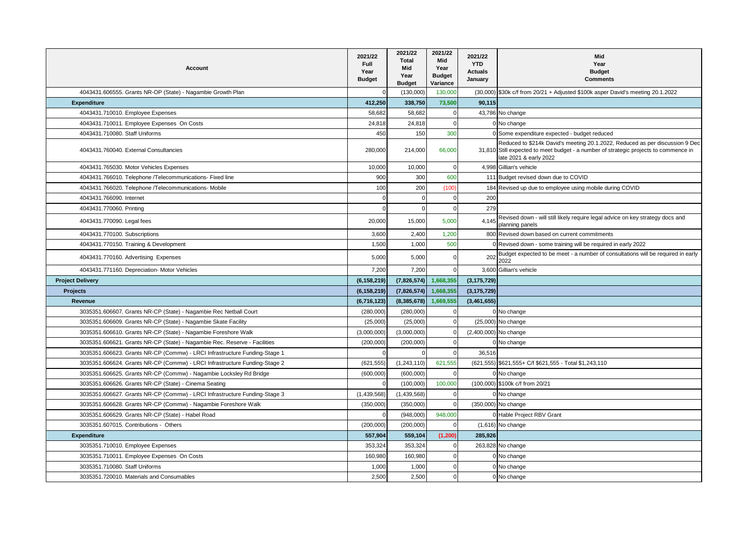| <b>Account</b>                                                             | 2021/22<br>Full<br>Year<br><b>Budget</b> | 2021/22<br>Total<br>Mid<br>Year<br><b>Budget</b> | 2021/22<br><b>Mid</b><br>Year<br><b>Budget</b><br>Variance | 2021/22<br><b>YTD</b><br><b>Actuals</b><br>January | Mid<br>Year<br><b>Budget</b><br><b>Comments</b>                                                                                                                                                |
|----------------------------------------------------------------------------|------------------------------------------|--------------------------------------------------|------------------------------------------------------------|----------------------------------------------------|------------------------------------------------------------------------------------------------------------------------------------------------------------------------------------------------|
| 4043431.606555. Grants NR-OP (State) - Nagambie Growth Plan                |                                          | (130,000)                                        | 130,000                                                    | (30,000)                                           | \$30k c/f from 20/21 + Adjusted \$100k asper David's meeting 20.1.2022                                                                                                                         |
| <b>Expenditure</b>                                                         | 412,250                                  | 338,750                                          | 73,500                                                     | 90,115                                             |                                                                                                                                                                                                |
| 4043431.710010. Employee Expenses                                          | 58,682                                   | 58,682                                           | $\Omega$                                                   |                                                    | 43,786 No change                                                                                                                                                                               |
| 4043431.710011. Employee Expenses On Costs                                 | 24,818                                   | 24,818                                           | $\Omega$                                                   |                                                    | 0 No change                                                                                                                                                                                    |
| 4043431.710080. Staff Uniforms                                             | 450                                      | 150                                              | 300                                                        |                                                    | 0 Some expenditure expected - budget reduced                                                                                                                                                   |
| 4043431.760040. External Consultancies                                     | 280,000                                  | 214,000                                          | 66,000                                                     |                                                    | Reduced to \$214k David's meeting 20.1.2022, Reduced as per discussion 9 Dec<br>31,810 Still expected to meet budget - a number of strategic projects to commence in<br>late 2021 & early 2022 |
| 4043431.765030. Motor Vehicles Expenses                                    | 10,000                                   | 10,000                                           | $\Omega$                                                   |                                                    | 4,998 Gillian's vehicle                                                                                                                                                                        |
| 4043431.766010. Telephone /Telecommunications- Fixed line                  | 900                                      | 300                                              | 600                                                        |                                                    | 111 Budget revised down due to COVID                                                                                                                                                           |
| 4043431.766020. Telephone /Telecommunications- Mobile                      | 100                                      | 200                                              | (100)                                                      |                                                    | 184 Revised up due to employee using mobile during COVID                                                                                                                                       |
| 4043431.766090. Internet                                                   | $\Omega$                                 | $\Omega$                                         | $\Omega$                                                   | 200                                                |                                                                                                                                                                                                |
| 4043431.770060. Printing                                                   | $\Omega$                                 | $\Omega$                                         | $\Omega$                                                   | 279                                                |                                                                                                                                                                                                |
| 4043431.770090. Legal fees                                                 | 20,000                                   | 15,000                                           | 5,000                                                      | 4,145                                              | Revised down - will still likely require legal advice on key strategy docs and<br>planning panels                                                                                              |
| 4043431.770100. Subscriptions                                              | 3,600                                    | 2,400                                            | 1,200                                                      |                                                    | 800 Revised down based on current commitments                                                                                                                                                  |
| 4043431.770150. Training & Development                                     | 1,500                                    | 1,000                                            | 500                                                        |                                                    | 0 Revised down - some training will be required in early 2022                                                                                                                                  |
| 4043431.770160. Advertising Expenses                                       | 5,000                                    | 5,000                                            | $\Omega$                                                   | 202                                                | Budget expected to be meet - a number of consultations will be required in early<br>2022                                                                                                       |
| 4043431.771160. Depreciation- Motor Vehicles                               | 7,200                                    | 7,200                                            | $\Omega$                                                   |                                                    | 3,600 Gillian's vehicle                                                                                                                                                                        |
| <b>Project Delivery</b>                                                    | (6, 158, 219)                            | (7,826,574)                                      | 1,668,355                                                  | (3, 175, 729)                                      |                                                                                                                                                                                                |
| <b>Projects</b>                                                            | (6, 158, 219)                            | (7,826,574)                                      | 1,668,355                                                  | (3, 175, 729)                                      |                                                                                                                                                                                                |
| Revenue                                                                    | (6,716,123)                              | (8,385,678)                                      | 1,669,555                                                  | (3,461,655)                                        |                                                                                                                                                                                                |
| 3035351.606607. Grants NR-CP (State) - Nagambie Rec Netball Court          | (280,000)                                | (280,000)                                        | $\Omega$                                                   |                                                    | 0 No change                                                                                                                                                                                    |
| 3035351.606609. Grants NR-CP (State) - Nagambie Skate Facility             | (25,000)                                 | (25,000)                                         | $\mathbf 0$                                                |                                                    | (25,000) No change                                                                                                                                                                             |
| 3035351.606610. Grants NR-CP (State) - Nagambie Foreshore Walk             | (3,000,000)                              | (3,000,000)                                      | $\Omega$                                                   |                                                    | (2,400,000) No change                                                                                                                                                                          |
| 3035351.606621. Grants NR-CP (State) - Nagambie Rec. Reserve - Facilities  | (200,000)                                | (200,000)                                        | $\mathbf 0$                                                |                                                    | 0 No change                                                                                                                                                                                    |
| 3035351.606623. Grants NR-CP (Commw) - LRCI Infrastructure Funding-Stage 1 | $\Omega$                                 | $\Omega$                                         | $\Omega$                                                   | 36,516                                             |                                                                                                                                                                                                |
| 3035351.606624. Grants NR-CP (Commw) - LRCI Infrastructure Funding-Stage 2 | (621, 555)                               | (1, 243, 110)                                    | 621,555                                                    |                                                    | (621, 555) \$621, 555+ C/f \$621, 555 - Total \$1, 243, 110                                                                                                                                    |
| 3035351.606625. Grants NR-CP (Commw) - Nagambie Locksley Rd Bridge         | (600,000)                                | (600,000)                                        | $\Omega$                                                   |                                                    | 0 No change                                                                                                                                                                                    |
| 3035351.606626. Grants NR-CP (State) - Cinema Seating                      | $\Omega$                                 | (100,000)                                        | 100,000                                                    |                                                    | (100,000) \$100k c/f from 20/21                                                                                                                                                                |
| 3035351.606627. Grants NR-CP (Commw) - LRCI Infrastructure Funding-Stage 3 | (1,439,568)                              | (1,439,568)                                      | $\Omega$                                                   |                                                    | 0 No change                                                                                                                                                                                    |
| 3035351.606628. Grants NR-CP (Commw) - Nagambie Foreshore Walk             | (350,000)                                | (350,000)                                        | $\Omega$                                                   |                                                    | (350,000) No change                                                                                                                                                                            |
| 3035351.606629. Grants NR-CP (State) - Habel Road                          | $\Omega$                                 | (948,000)                                        | 948,000                                                    |                                                    | 0 Hable Project RBV Grant                                                                                                                                                                      |
| 3035351.607015. Contributions - Others                                     | (200,000)                                | (200,000)                                        | $\Omega$                                                   |                                                    | $(1,616)$ No change                                                                                                                                                                            |
| <b>Expenditure</b>                                                         | 557,904                                  | 559,104                                          | (1, 200)                                                   | 285,926                                            |                                                                                                                                                                                                |
| 3035351.710010. Employee Expenses                                          | 353,324                                  | 353,324                                          | $\Omega$                                                   |                                                    | 263,828 No change                                                                                                                                                                              |
| 3035351.710011. Employee Expenses On Costs                                 | 160,980                                  | 160,980                                          | $\Omega$                                                   |                                                    | 0 No change                                                                                                                                                                                    |
| 3035351.710080. Staff Uniforms                                             | 1,000                                    | 1,000                                            | $\Omega$                                                   |                                                    | 0 No change                                                                                                                                                                                    |
| 3035351.720010. Materials and Consumables                                  | 2,500                                    | 2,500                                            | $\Omega$                                                   |                                                    | 0 No change                                                                                                                                                                                    |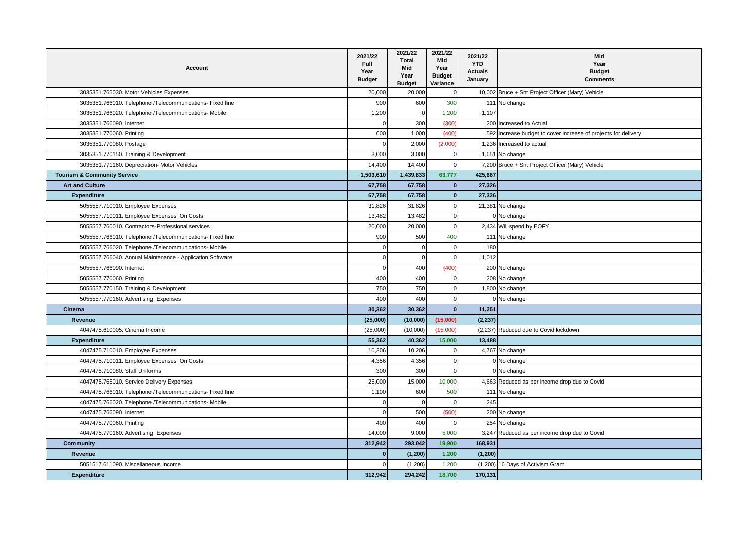| <b>Account</b>                                            | 2021/22<br><b>Full</b><br>Year<br><b>Budget</b> | 2021/22<br><b>Total</b><br>Mid<br>Year<br><b>Budget</b> | 2021/22<br>Mid<br>Year<br><b>Budget</b><br>Variance | 2021/22<br><b>YTD</b><br><b>Actuals</b><br>January | Mid<br>Year<br><b>Budget</b><br><b>Comments</b>                |
|-----------------------------------------------------------|-------------------------------------------------|---------------------------------------------------------|-----------------------------------------------------|----------------------------------------------------|----------------------------------------------------------------|
| 3035351.765030. Motor Vehicles Expenses                   | 20,000                                          | 20,000                                                  | $\Omega$                                            |                                                    | 10,002 Bruce + Snt Project Officer (Mary) Vehicle              |
| 3035351.766010. Telephone /Telecommunications- Fixed line | 900                                             | 600                                                     | 300                                                 |                                                    | 111 No change                                                  |
| 3035351.766020. Telephone /Telecommunications- Mobile     | 1,200                                           | $\mathbf 0$                                             | 1,200                                               | 1,107                                              |                                                                |
| 3035351.766090. Internet                                  | $\mathbf 0$                                     | 300                                                     | (300)                                               |                                                    | 200 Increased to Actual                                        |
| 3035351.770060. Printing                                  | 600                                             | 1,000                                                   | (400)                                               |                                                    | 592 Increase budget to cover increase of projects for delivery |
| 3035351.770080. Postage                                   | $\Omega$                                        | 2,000                                                   | (2,000)                                             |                                                    | 1,236 Increased to actual                                      |
| 3035351.770150. Training & Development                    | 3,000                                           | 3,000                                                   | $\overline{0}$                                      |                                                    | 1,651 No change                                                |
| 3035351.771160. Depreciation- Motor Vehicles              | 14,400                                          | 14,400                                                  | $\Omega$                                            |                                                    | 7,200 Bruce + Snt Project Officer (Mary) Vehicle               |
| <b>Tourism &amp; Community Service</b>                    | 1,503,610                                       | 1,439,833                                               | 63,777                                              | 425,667                                            |                                                                |
| <b>Art and Culture</b>                                    | 67,758                                          | 67,758                                                  | $\bf{0}$                                            | 27,326                                             |                                                                |
| <b>Expenditure</b>                                        | 67,758                                          | 67,758                                                  | $\mathbf{0}$                                        | 27,326                                             |                                                                |
| 5055557.710010. Employee Expenses                         | 31,826                                          | 31,826                                                  | $\Omega$                                            |                                                    | 21,381 No change                                               |
| 5055557.710011. Employee Expenses On Costs                | 13,482                                          | 13,482                                                  | $\overline{0}$                                      |                                                    | 0 No change                                                    |
| 5055557.760010. Contractors-Professional services         | 20,000                                          | 20,000                                                  | $\Omega$                                            |                                                    | 2,434 Will spend by EOFY                                       |
| 5055557.766010. Telephone /Telecommunications- Fixed line | 900                                             | 500                                                     | 400                                                 |                                                    | 111 No change                                                  |
| 5055557.766020. Telephone /Telecommunications- Mobile     | $\Omega$                                        | $\mathbf 0$                                             | $\Omega$                                            | 180                                                |                                                                |
| 5055557.766040. Annual Maintenance - Application Software | $\Omega$                                        | $\mathbf 0$                                             | $\overline{0}$                                      | 1,012                                              |                                                                |
| 5055557.766090. Internet                                  | $\mathbf 0$                                     | 400                                                     | (400)                                               |                                                    | 200 No change                                                  |
| 5055557.770060. Printing                                  | 400                                             | 400                                                     | $\Omega$                                            |                                                    | 208 No change                                                  |
| 5055557.770150. Training & Development                    | 750                                             | 750                                                     | $\Omega$                                            |                                                    | 1,800 No change                                                |
| 5055557.770160. Advertising Expenses                      | 400                                             | 400                                                     | $\Omega$                                            |                                                    | 0 No change                                                    |
| Cinema                                                    | 30,362                                          | 30,362                                                  | $\mathbf{0}$                                        | 11,251                                             |                                                                |
| Revenue                                                   | (25,000)                                        | (10,000)                                                | (15,000)                                            | (2, 237)                                           |                                                                |
| 4047475.610005. Cinema Income                             | (25,000)                                        | (10,000)                                                | (15,000)                                            |                                                    | (2,237) Reduced due to Covid lockdown                          |
| <b>Expenditure</b>                                        | 55,362                                          | 40,362                                                  | 15,000                                              | 13,488                                             |                                                                |
| 4047475.710010. Employee Expenses                         | 10,206                                          | 10,206                                                  | $\Omega$                                            |                                                    | 4,767 No change                                                |
| 4047475.710011. Employee Expenses On Costs                | 4.356                                           | 4,356                                                   | $\Omega$                                            |                                                    | 0 No change                                                    |
| 4047475.710080. Staff Uniforms                            | 300                                             | 300                                                     | $\Omega$                                            |                                                    | 0 No change                                                    |
| 4047475.765010. Service Delivery Expenses                 | 25,000                                          | 15,000                                                  | 10,000                                              |                                                    | 4,663 Reduced as per income drop due to Covid                  |
| 4047475.766010. Telephone /Telecommunications- Fixed line | 1,100                                           | 600                                                     | 500                                                 |                                                    | 111 No change                                                  |
| 4047475.766020. Telephone /Telecommunications- Mobile     | $\Omega$                                        | $\Omega$                                                | $\Omega$                                            | 245                                                |                                                                |
| 4047475.766090. Internet                                  | $\Omega$                                        | 500                                                     | (500)                                               |                                                    | 200 No change                                                  |
| 4047475.770060. Printing                                  | 400                                             | 400                                                     | $\Omega$                                            |                                                    | 254 No change                                                  |
| 4047475.770160. Advertising Expenses                      | 14,000                                          | 9,000                                                   | 5,000                                               |                                                    | 3,247 Reduced as per income drop due to Covid                  |
| Community                                                 | 312,942                                         | 293,042                                                 | 19,900                                              | 168,931                                            |                                                                |
| Revenue                                                   | $\Omega$                                        | (1,200)                                                 | 1,200                                               | (1, 200)                                           |                                                                |
| 5051517.611090. Miscellaneous Income                      | $\Omega$                                        | (1,200)                                                 | 1,200                                               |                                                    | (1,200) 16 Days of Activism Grant                              |
| <b>Expenditure</b>                                        | 312,942                                         | 294,242                                                 | 18,700                                              | 170,131                                            |                                                                |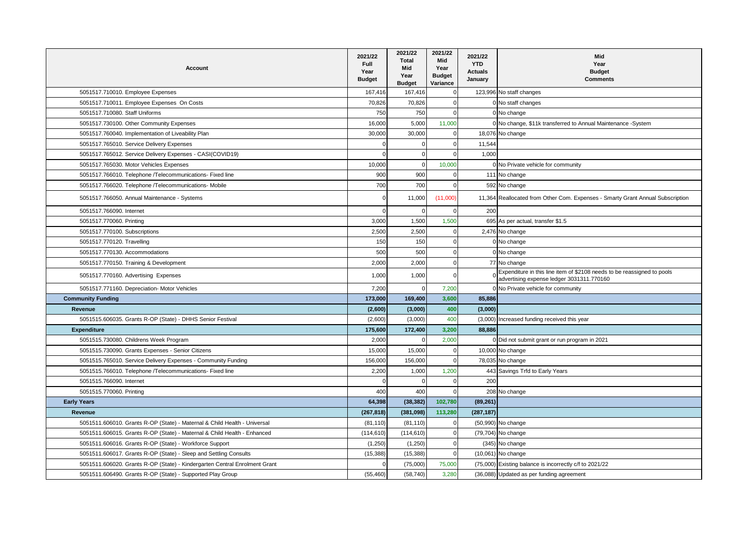| Account                                                                    | 2021/22<br><b>Full</b><br>Year<br><b>Budget</b> | 2021/22<br>Total<br>Mid<br>Year<br><b>Budget</b> | 2021/22<br>Mid<br>Year<br><b>Budget</b><br>Variance | 2021/22<br><b>YTD</b><br><b>Actuals</b><br>January | Mid<br>Year<br><b>Budget</b><br><b>Comments</b>                                                                      |
|----------------------------------------------------------------------------|-------------------------------------------------|--------------------------------------------------|-----------------------------------------------------|----------------------------------------------------|----------------------------------------------------------------------------------------------------------------------|
| 5051517.710010. Employee Expenses                                          | 167,416                                         | 167,416                                          |                                                     |                                                    | 123,996 No staff changes                                                                                             |
| 5051517.710011. Employee Expenses On Costs                                 | 70,826                                          | 70,826                                           | $\Omega$                                            |                                                    | 0 No staff changes                                                                                                   |
| 5051517.710080. Staff Uniforms                                             | 750                                             | 750                                              | $\Omega$                                            |                                                    | 0 No change                                                                                                          |
| 5051517.730100. Other Community Expenses                                   | 16,000                                          | 5,000                                            | 11,000                                              |                                                    | 0 No change, \$11k transferred to Annual Maintenance -System                                                         |
| 5051517.760040. Implementation of Liveability Plan                         | 30,000                                          | 30,000                                           | $\Omega$                                            |                                                    | 18,076 No change                                                                                                     |
| 5051517.765010. Service Delivery Expenses                                  | $\Omega$                                        | $\Omega$                                         | $\Omega$                                            | 11,544                                             |                                                                                                                      |
| 5051517.765012. Service Delivery Expenses - CASI(COVID19)                  | $\Omega$                                        | $\mathbf 0$                                      | $\Omega$                                            | 1,000                                              |                                                                                                                      |
| 5051517.765030. Motor Vehicles Expenses                                    | 10,000                                          | $\Omega$                                         | 10,000                                              |                                                    | 0 No Private vehicle for community                                                                                   |
| 5051517.766010. Telephone /Telecommunications- Fixed line                  | 900                                             | 900                                              | $\Omega$                                            |                                                    | 111 No change                                                                                                        |
| 5051517.766020. Telephone /Telecommunications- Mobile                      | 700                                             | 700                                              | $\Omega$                                            |                                                    | 592 No change                                                                                                        |
| 5051517.766050. Annual Maintenance - Systems                               | $\Omega$                                        | 11,000                                           | (11,000)                                            |                                                    | 11,364 Reallocated from Other Com. Expenses - Smarty Grant Annual Subscription                                       |
| 5051517.766090. Internet                                                   | $\Omega$                                        | $\Omega$                                         | $\Omega$                                            | 200                                                |                                                                                                                      |
| 5051517.770060. Printing                                                   | 3,000                                           | 1,500                                            | 1,500                                               |                                                    | 695 As per actual, transfer \$1.5                                                                                    |
| 5051517.770100. Subscriptions                                              | 2,500                                           | 2,500                                            | $\Omega$                                            |                                                    | 2,476 No change                                                                                                      |
| 5051517.770120. Travelling                                                 | 150                                             | 150                                              | $\Omega$                                            |                                                    | 0 No change                                                                                                          |
| 5051517.770130. Accommodations                                             | 500                                             | 500                                              | $\mathbf 0$                                         |                                                    | 0 No change                                                                                                          |
| 5051517.770150. Training & Development                                     | 2,000                                           | 2,000                                            | $\Omega$                                            |                                                    | 77 No change                                                                                                         |
| 5051517.770160. Advertising Expenses                                       | 1,000                                           | 1,000                                            | $\Omega$                                            |                                                    | Expenditure in this line item of \$2108 needs to be reassigned to pools<br>advertising expense ledger 3031311.770160 |
| 5051517.771160. Depreciation- Motor Vehicles                               | 7,200                                           | $\Omega$                                         | 7,200                                               |                                                    | 0 No Private vehicle for community                                                                                   |
| <b>Community Funding</b>                                                   | 173,000                                         | 169,400                                          | 3,600                                               | 85,886                                             |                                                                                                                      |
| Revenue                                                                    | (2,600)                                         | (3,000)                                          | 400                                                 | (3,000)                                            |                                                                                                                      |
| 5051515.606035. Grants R-OP (State) - DHHS Senior Festival                 | (2,600)                                         | (3,000)                                          | 400                                                 |                                                    | (3,000) Increased funding received this year                                                                         |
| <b>Expenditure</b>                                                         | 175,600                                         | 172,400                                          | 3,200                                               | 88,886                                             |                                                                                                                      |
| 5051515.730080. Childrens Week Program                                     | 2,000                                           | $\Omega$                                         | 2,000                                               |                                                    | 0 Did not submit grant or run program in 2021                                                                        |
| 5051515.730090. Grants Expenses - Senior Citizens                          | 15,000                                          | 15,000                                           | $\Omega$                                            |                                                    | 10,000 No change                                                                                                     |
| 5051515.765010. Service Delivery Expenses - Community Funding              | 156,000                                         | 156,000                                          | $\mathbf 0$                                         |                                                    | 78,035 No change                                                                                                     |
| 5051515.766010. Telephone /Telecommunications- Fixed line                  | 2,200                                           | 1,000                                            | 1,200                                               |                                                    | 443 Savings Trfd to Early Years                                                                                      |
| 5051515.766090. Internet                                                   | $\Omega$                                        | $\Omega$                                         | $\Omega$                                            | 200                                                |                                                                                                                      |
| 5051515.770060. Printing                                                   | 400                                             | 400                                              | $\Omega$                                            |                                                    | 208 No change                                                                                                        |
| <b>Early Years</b>                                                         | 64,398                                          | (38, 382)                                        | 102,780                                             | (89, 261)                                          |                                                                                                                      |
| Revenue                                                                    | (267, 818)                                      | (381,098)                                        | 113,280                                             | (287, 187)                                         |                                                                                                                      |
| 5051511.606010. Grants R-OP (State) - Maternal & Child Health - Universal  | (81, 110)                                       | (81, 110)                                        | $\Omega$                                            |                                                    | (50,990) No change                                                                                                   |
| 5051511.606015. Grants R-OP (State) - Maternal & Child Health - Enhanced   | (114, 610)                                      | (114, 610)                                       | $\Omega$                                            |                                                    | (79,704) No change                                                                                                   |
| 5051511.606016. Grants R-OP (State) - Workforce Support                    | (1,250)                                         | (1,250)                                          | $\mathbf 0$                                         |                                                    | (345) No change                                                                                                      |
| 5051511.606017. Grants R-OP (State) - Sleep and Settling Consults          | (15, 388)                                       | (15, 388)                                        | $\Omega$                                            |                                                    | (10,061) No change                                                                                                   |
| 5051511.606020. Grants R-OP (State) - Kindergarten Central Enrolment Grant | റ                                               | (75,000)                                         | 75,000                                              |                                                    | (75,000) Existing balance is incorrectly c/f to 2021/22                                                              |
| 5051511.606490. Grants R-OP (State) - Supported Play Group                 | (55, 460)                                       | (58, 740)                                        | 3,280                                               |                                                    | (36,088) Updated as per funding agreement                                                                            |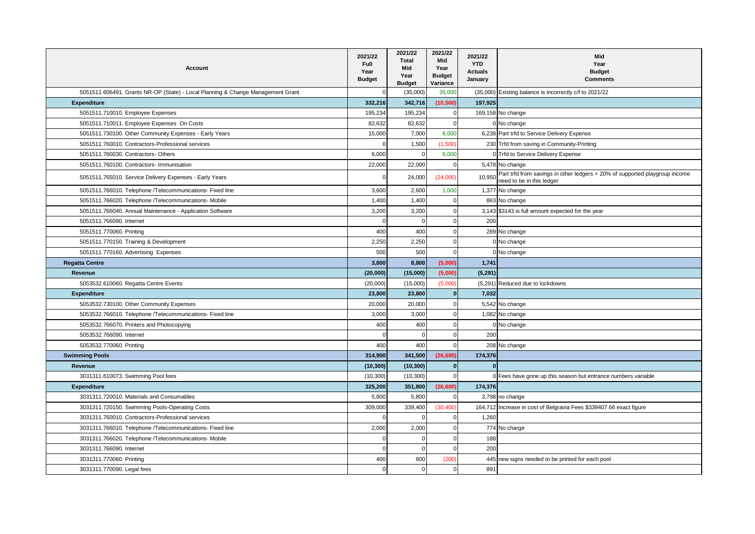| Account                                                                         | 2021/22<br>Full<br>Year<br><b>Budget</b> | 2021/22<br><b>Total</b><br>Mid<br>Year<br><b>Budget</b> | 2021/22<br><b>Mid</b><br>Year<br><b>Budget</b><br>Variance | 2021/22<br><b>YTD</b><br><b>Actuals</b><br>January | Mid<br>Year<br><b>Budget</b><br><b>Comments</b>                                                          |
|---------------------------------------------------------------------------------|------------------------------------------|---------------------------------------------------------|------------------------------------------------------------|----------------------------------------------------|----------------------------------------------------------------------------------------------------------|
| 5051511.606491. Grants NR-OP (State) - Local Planning & Change Management Grant |                                          | (35,000)                                                | 35,000                                                     |                                                    | (35,000) Existing balance is incorrectly c/f to 2021/22                                                  |
| <b>Expenditure</b>                                                              | 332,216                                  | 342,716                                                 | (10, 500)                                                  | 197,925                                            |                                                                                                          |
| 5051511.710010. Employee Expenses                                               | 195,234                                  | 195,234                                                 | $\Omega$                                                   |                                                    | 169,158 No change                                                                                        |
| 5051511.710011. Employee Expenses On Costs                                      | 82,632                                   | 82,632                                                  | $\Omega$                                                   |                                                    | 0 No change                                                                                              |
| 5051511.730100. Other Community Expenses - Early Years                          | 15,000                                   | 7,000                                                   | 8,000                                                      |                                                    | 6,238 Part trfd to Service Delivery Expense                                                              |
| 5051511.760010. Contractors-Professional services                               |                                          | 1,500                                                   | (1,500)                                                    |                                                    | 230 Trfd from saving in Community-Printing                                                               |
| 5051511.760030. Contractors- Others                                             | 6,000                                    | $\Omega$                                                | 6,000                                                      |                                                    | 0 Trfd to Service Delivery Expense                                                                       |
| 5051511.760100. Contractors- Immunisation                                       | 22,000                                   | 22,000                                                  | $\Omega$                                                   |                                                    | 5,478 No change                                                                                          |
| 5051511.765010. Service Delivery Expenses - Early Years                         | $\Omega$                                 | 24,000                                                  | (24,000)                                                   | 10,950                                             | Part trfd from savings in other ledgers + 20% of supported playgroup income<br>need to be in this ledger |
| 5051511.766010. Telephone /Telecommunications- Fixed line                       | 3,600                                    | 2,600                                                   | 1,000                                                      |                                                    | 1,377 No change                                                                                          |
| 5051511.766020. Telephone /Telecommunications- Mobile                           | 1,400                                    | 1,400                                                   | $\Omega$                                                   |                                                    | 863 No change                                                                                            |
| 5051511.766040. Annual Maintenance - Application Software                       | 3,200                                    | 3,200                                                   | 0                                                          |                                                    | 3,143 \$3143 is full amount expected for the year                                                        |
| 5051511.766090. Internet                                                        | $\Omega$                                 | $\Omega$                                                | $\Omega$                                                   | 200                                                |                                                                                                          |
| 5051511.770060. Printing                                                        | 400                                      | 400                                                     | $\Omega$                                                   |                                                    | 289 No change                                                                                            |
| 5051511.770150. Training & Development                                          | 2,250                                    | 2,250                                                   | $\Omega$                                                   |                                                    | 0 No change                                                                                              |
| 5051511.770160. Advertising Expenses                                            | 500                                      | 500                                                     |                                                            |                                                    | No change                                                                                                |
| <b>Regatta Centre</b>                                                           | 3,800                                    | 8,800                                                   | (5,000)                                                    | 1,741                                              |                                                                                                          |
| Revenue                                                                         | (20,000)                                 | (15,000)                                                | (5,000)                                                    | (5, 291)                                           |                                                                                                          |
| 5053532.610060. Regatta Centre Events                                           | (20,000)                                 | (15,000)                                                | (5,000)                                                    |                                                    | (5,291) Reduced due to lockdowns                                                                         |
| <b>Expenditure</b>                                                              | 23,800                                   | 23,800                                                  | $\Omega$                                                   | 7,032                                              |                                                                                                          |
| 5053532.730100. Other Community Expenses                                        | 20,000                                   | 20,000                                                  | C                                                          |                                                    | 5,542 No change                                                                                          |
| 5053532.766010. Telephone /Telecommunications- Fixed line                       | 3,000                                    | 3,000                                                   | $\Omega$                                                   |                                                    | 1,082 No change                                                                                          |
| 5053532.766070. Printers and Photocopying                                       | 400                                      | 400                                                     | $\Omega$                                                   |                                                    | No change                                                                                                |
| 5053532.766090. Internet                                                        | $\Omega$                                 | $\Omega$                                                |                                                            | 200                                                |                                                                                                          |
| 5053532.770060. Printing                                                        | 400                                      | 400                                                     | $\Omega$                                                   |                                                    | 208 No change                                                                                            |
| <b>Swimming Pools</b>                                                           | 314,900                                  | 341,500                                                 | (26, 600)                                                  | 174,376                                            |                                                                                                          |
| Revenue                                                                         | (10, 300)                                | (10, 300)                                               | $\mathbf{0}$                                               | $\mathbf{0}$                                       |                                                                                                          |
| 3031311.610073. Swimming Pool fees                                              | (10, 300)                                | (10, 300)                                               | $\Omega$                                                   |                                                    | Fees have gone up this season but entrance numbers variable                                              |
| <b>Expenditure</b>                                                              | 325,200                                  | 351,800                                                 | (26, 600)                                                  | 174,376                                            |                                                                                                          |
| 3031311.720010. Materials and Consumables                                       | 5,800                                    | 5,800                                                   | $\Omega$                                                   |                                                    | 3,798 no change                                                                                          |
| 3031311.720150. Swimming Pools-Operating Costs                                  | 309,000                                  | 339,400                                                 | (30, 400)                                                  |                                                    | 164,712 Increase in cost of Belgravia Fees \$339407.66 exact figure                                      |
| 3031311.760010. Contractors-Professional services                               | $\Omega$                                 |                                                         | $\Omega$                                                   | 1,260                                              |                                                                                                          |
| 3031311.766010. Telephone /Telecommunications- Fixed line                       | 2,000                                    | 2,000                                                   | $\Omega$                                                   |                                                    | 774 No charge                                                                                            |
| 3031311.766020. Telephone /Telecommunications- Mobile                           | $\Omega$                                 | $\Omega$                                                | C                                                          | 188                                                |                                                                                                          |
| 3031311.766090. Internet                                                        |                                          |                                                         | $\Omega$                                                   | 200                                                |                                                                                                          |
| 3031311.770060. Printing                                                        | 400                                      | 600                                                     | (200)                                                      |                                                    | 445 new signs needed to be printed for each pool                                                         |
| 3031311.770090. Legal fees                                                      | $\cap$                                   | $\Omega$                                                | C                                                          | 891                                                |                                                                                                          |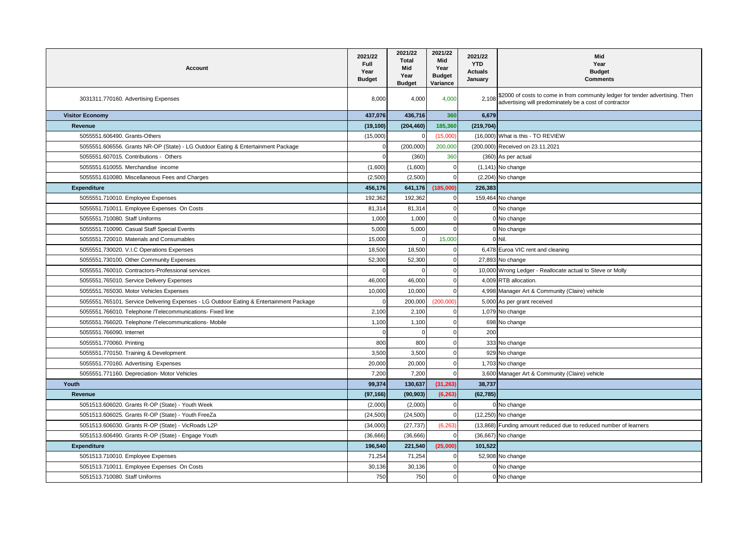| <b>Account</b>                                                                          | 2021/22<br>Full<br>Year<br><b>Budget</b> | 2021/22<br><b>Total</b><br>Mid<br>Year<br><b>Budget</b> | 2021/22<br><b>Mid</b><br>Year<br><b>Budget</b><br>Variance | 2021/22<br><b>YTD</b><br><b>Actuals</b><br>January | Mid<br>Year<br><b>Budget</b><br><b>Comments</b>                                                                                         |
|-----------------------------------------------------------------------------------------|------------------------------------------|---------------------------------------------------------|------------------------------------------------------------|----------------------------------------------------|-----------------------------------------------------------------------------------------------------------------------------------------|
| 3031311.770160. Advertising Expenses                                                    | 8,000                                    | 4,000                                                   | 4,000                                                      | 2,108                                              | \$2000 of costs to come in from community ledger for tender advertising. Then<br>advertising will predominately be a cost of contractor |
| <b>Visitor Economy</b>                                                                  | 437,076                                  | 436,716                                                 | 360                                                        | 6,679                                              |                                                                                                                                         |
| Revenue                                                                                 | (19, 100)                                | (204, 460)                                              | 185,360                                                    | (219, 704)                                         |                                                                                                                                         |
| 5055551.606490. Grants-Others                                                           | (15,000)                                 |                                                         | (15,000)                                                   |                                                    | (16,000) What is this - TO REVIEW                                                                                                       |
| 5055551.606556. Grants NR-OP (State) - LG Outdoor Eating & Entertainment Package        | -0                                       | (200,000)                                               | 200,000                                                    |                                                    | (200,000) Received on 23.11.2021                                                                                                        |
| 5055551.607015. Contributions - Others                                                  |                                          | (360)                                                   | 360                                                        |                                                    | (360) As per actual                                                                                                                     |
| 5055551.610055. Merchandise income                                                      | (1,600)                                  | (1,600)                                                 | $\Omega$                                                   |                                                    | $(1, 141)$ No change                                                                                                                    |
| 5055551.610080. Miscellaneous Fees and Charges                                          | (2,500)                                  | (2,500)                                                 |                                                            |                                                    | $(2,204)$ No change                                                                                                                     |
| <b>Expenditure</b>                                                                      | 456,176                                  | 641,176                                                 | (185,000)                                                  | 226,383                                            |                                                                                                                                         |
| 5055551.710010. Employee Expenses                                                       | 192.362                                  | 192,362                                                 | $\Omega$                                                   |                                                    | 159,464 No change                                                                                                                       |
| 5055551.710011. Employee Expenses On Costs                                              | 81,314                                   | 81,314                                                  | $\Omega$                                                   |                                                    | 0 No change                                                                                                                             |
| 5055551.710080. Staff Uniforms                                                          | 1,000                                    | 1,000                                                   | $\Omega$                                                   |                                                    | No change                                                                                                                               |
| 5055551.710090. Casual Staff Special Events                                             | 5,000                                    | 5,000                                                   | $\Omega$                                                   |                                                    | No change                                                                                                                               |
| 5055551.720010. Materials and Consumables                                               | 15,000                                   | $\Omega$                                                | 15,000                                                     |                                                    | Nil.                                                                                                                                    |
| 5055551.730020. V.I.C Operations Expenses                                               | 18,500                                   | 18,500                                                  | $\Omega$                                                   |                                                    | 6,478 Euroa VIC rent and cleaning                                                                                                       |
| 5055551.730100. Other Community Expenses                                                | 52,300                                   | 52,300                                                  | $\Omega$                                                   |                                                    | 27,893 No change                                                                                                                        |
| 5055551.760010. Contractors-Professional services                                       |                                          | $\Omega$                                                |                                                            |                                                    | 10,000 Wrong Ledger - Reallocate actual to Steve or Molly                                                                               |
| 5055551.765010. Service Delivery Expenses                                               | 46,000                                   | 46,000                                                  | $\Omega$                                                   |                                                    | 4,009 RTB allocation.                                                                                                                   |
| 5055551.765030. Motor Vehicles Expenses                                                 | 10,000                                   | 10,000                                                  |                                                            |                                                    | 4,998 Manager Art & Community (Claire) vehicle                                                                                          |
| 5055551.765101. Service Delivering Expenses - LG Outdoor Eating & Entertainment Package | $\Omega$                                 | 200,000                                                 | (200,000)                                                  |                                                    | 5,000 As per grant received                                                                                                             |
| 5055551.766010. Telephone /Telecommunications- Fixed line                               | 2,100                                    | 2,100                                                   | $\Omega$                                                   |                                                    | 1,079 No change                                                                                                                         |
| 5055551.766020. Telephone /Telecommunications- Mobile                                   | 1,100                                    | 1,100                                                   | $\Omega$                                                   |                                                    | 698 No change                                                                                                                           |
| 5055551.766090. Internet                                                                | - 0                                      | - 0                                                     | $\Omega$                                                   | 200                                                |                                                                                                                                         |
| 5055551.770060. Printing                                                                | 800                                      | 800                                                     | $\Omega$                                                   |                                                    | 333 No change                                                                                                                           |
| 5055551.770150. Training & Development                                                  | 3,500                                    | 3,500                                                   | $\Omega$                                                   |                                                    | 929 No change                                                                                                                           |
| 5055551.770160. Advertising Expenses                                                    | 20,000                                   | 20,000                                                  |                                                            |                                                    | 1,703 No change                                                                                                                         |
| 5055551.771160. Depreciation- Motor Vehicles                                            | 7,200                                    | 7,200                                                   | $\Omega$                                                   |                                                    | 3,600 Manager Art & Community (Claire) vehicle                                                                                          |
| Youth                                                                                   | 99,374                                   | 130,637                                                 | (31, 263)                                                  | 38,737                                             |                                                                                                                                         |
| Revenue                                                                                 | (97, 166)                                | (90, 903)                                               | (6, 263)                                                   | (62, 785)                                          |                                                                                                                                         |
| 5051513.606020. Grants R-OP (State) - Youth Week                                        | (2,000)                                  | (2,000)                                                 | $\Omega$                                                   |                                                    | 0 No change                                                                                                                             |
| 5051513.606025. Grants R-OP (State) - Youth FreeZa                                      | (24, 500)                                | (24, 500)                                               | $\Omega$                                                   |                                                    | (12,250) No change                                                                                                                      |
| 5051513.606030. Grants R-OP (State) - VicRoads L2P                                      | (34,000)                                 | (27, 737)                                               | (6, 263)                                                   |                                                    | (13,868) Funding amount reduced due to reduced number of learners                                                                       |
| 5051513.606490. Grants R-OP (State) - Engage Youth                                      | (36,666)                                 | (36, 666)                                               | $\Omega$                                                   |                                                    | (36,667) No change                                                                                                                      |
| <b>Expenditure</b>                                                                      | 196,540                                  | 221,540                                                 | (25,000)                                                   | 101,522                                            |                                                                                                                                         |
| 5051513.710010. Employee Expenses                                                       | 71,254                                   | 71,254                                                  | $\Omega$                                                   |                                                    | 52,908 No change                                                                                                                        |
| 5051513.710011. Employee Expenses On Costs                                              | 30,136                                   | 30,136                                                  | $\Omega$                                                   |                                                    | No change                                                                                                                               |
| 5051513.710080. Staff Uniforms                                                          | 750                                      | 750                                                     |                                                            | O                                                  | No change                                                                                                                               |